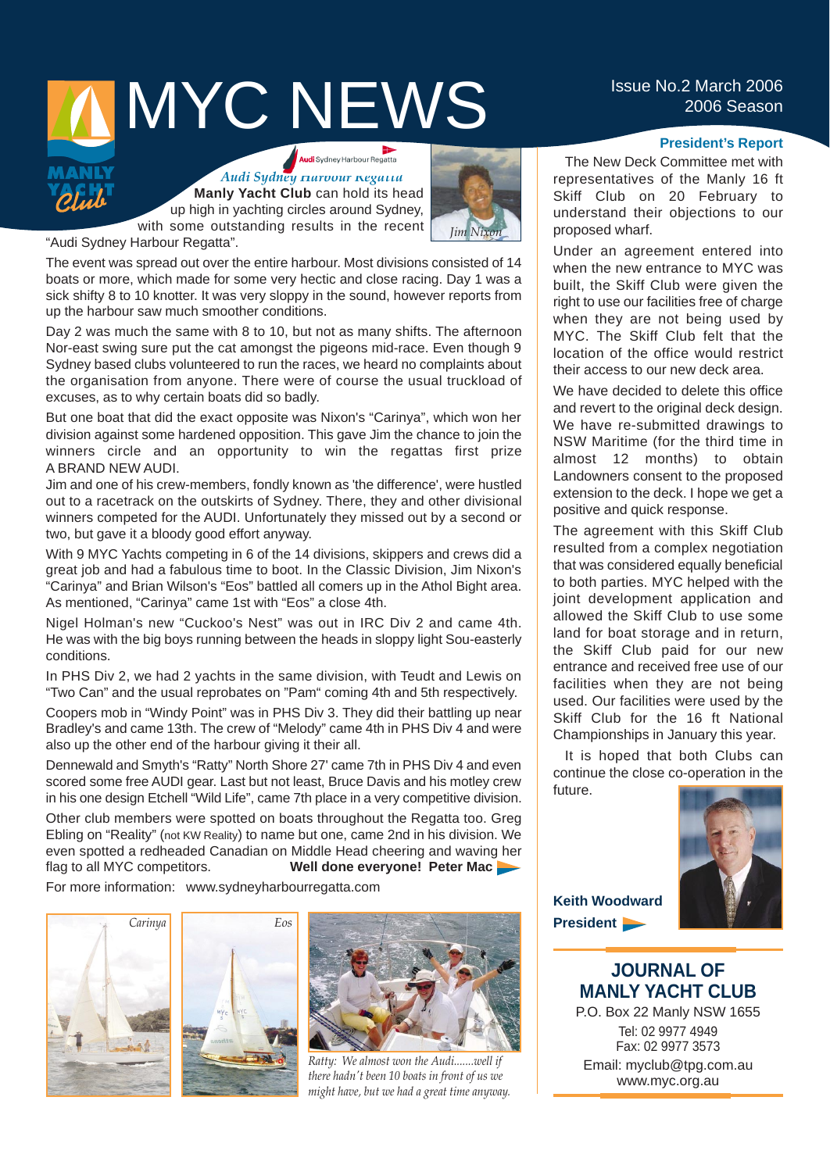# ISSUE NO.2 March 2006

**Audi** Sydney Harbour Regatta

*Audi Sydney Harbour Regatta* **Manly Yacht Club** can hold its head up high in yachting circles around Sydney, with some outstanding results in the recent



"Audi Sydney Harbour Regatta".

The event was spread out over the entire harbour. Most divisions consisted of 14 boats or more, which made for some very hectic and close racing. Day 1 was a sick shifty 8 to 10 knotter. It was very sloppy in the sound, however reports from up the harbour saw much smoother conditions.

Day 2 was much the same with 8 to 10, but not as many shifts. The afternoon Nor-east swing sure put the cat amongst the pigeons mid-race. Even though 9 Sydney based clubs volunteered to run the races, we heard no complaints about the organisation from anyone. There were of course the usual truckload of excuses, as to why certain boats did so badly.

But one boat that did the exact opposite was Nixon's "Carinya", which won her division against some hardened opposition. This gave Jim the chance to join the winners circle and an opportunity to win the regattas first prize A BRAND NEW AUDI.

Jim and one of his crew-members, fondly known as 'the difference', were hustled out to a racetrack on the outskirts of Sydney. There, they and other divisional winners competed for the AUDI. Unfortunately they missed out by a second or two, but gave it a bloody good effort anyway.

With 9 MYC Yachts competing in 6 of the 14 divisions, skippers and crews did a great job and had a fabulous time to boot. In the Classic Division, Jim Nixon's "Carinya" and Brian Wilson's "Eos" battled all comers up in the Athol Bight area. As mentioned, "Carinya" came 1st with "Eos" a close 4th.

Nigel Holman's new "Cuckoo's Nest" was out in IRC Div 2 and came 4th. He was with the big boys running between the heads in sloppy light Sou-easterly conditions.

In PHS Div 2, we had 2 yachts in the same division, with Teudt and Lewis on "Two Can" and the usual reprobates on "Pam" coming 4th and 5th respectively.

Coopers mob in "Windy Point" was in PHS Div 3. They did their battling up near Bradley's and came 13th. The crew of "Melody" came 4th in PHS Div 4 and were also up the other end of the harbour giving it their all.

Dennewald and Smyth's "Ratty" North Shore 27' came 7th in PHS Div 4 and even scored some free AUDI gear. Last but not least, Bruce Davis and his motley crew in his one design Etchell "Wild Life", came 7th place in a very competitive division.

Other club members were spotted on boats throughout the Regatta too. Greg Ebling on "Reality" (not KW Reality) to name but one, came 2nd in his division. We even spotted a redheaded Canadian on Middle Head cheering and waving her flag to all MYC competitors. **Well done everyone! Peter Mac**

For more information: www.sydneyharbourregatta.com







*Ratty: We almost won the Audi.......well if there hadn't been 10 boats in front of us we might have, but we had a great time anyway.*

#### **President's Report**

The New Deck Committee met with representatives of the Manly 16 ft Skiff Club on 20 February to understand their objections to our proposed wharf.

Under an agreement entered into when the new entrance to MYC was built, the Skiff Club were given the right to use our facilities free of charge when they are not being used by MYC. The Skiff Club felt that the location of the office would restrict their access to our new deck area.

We have decided to delete this office and revert to the original deck design. We have re-submitted drawings to NSW Maritime (for the third time in almost 12 months) to obtain Landowners consent to the proposed extension to the deck. I hope we get a positive and quick response.

The agreement with this Skiff Club resulted from a complex negotiation that was considered equally beneficial to both parties. MYC helped with the joint development application and allowed the Skiff Club to use some land for boat storage and in return, the Skiff Club paid for our new entrance and received free use of our facilities when they are not being used. Our facilities were used by the Skiff Club for the 16 ft National Championships in January this year.

It is hoped that both Clubs can continue the close co-operation in the future.



**Keith Woodward President** 

> **JOURNAL OF MANLY YACHT CLUB**

P.O. Box 22 Manly NSW 1655 Tel: 02 9977 4949 Fax: 02 9977 3573 Email: myclub@tpg.com.au www.myc.org.au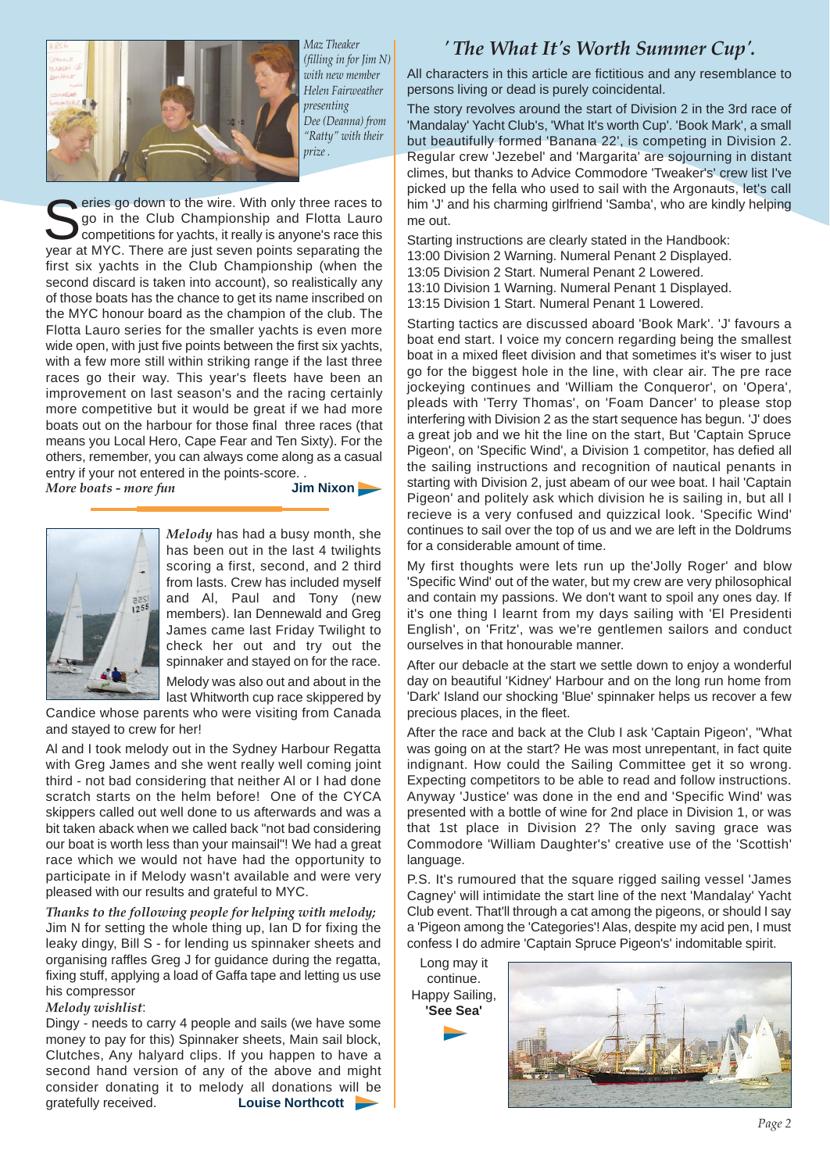

*Maz Theaker (filling in for Jim N) with new member Helen Fairweather presenting Dee (Deanna) from "Ratty" with their prize .*

Series go down to the wire. With only three races to<br>go in the Club Championship and Flotta Lauro<br>competitions for yachts, it really is anyone's race this go in the Club Championship and Flotta Lauro competitions for yachts, it really is anyone's race this year at MYC. There are just seven points separating the first six yachts in the Club Championship (when the second discard is taken into account), so realistically any of those boats has the chance to get its name inscribed on the MYC honour board as the champion of the club. The Flotta Lauro series for the smaller yachts is even more wide open, with just five points between the first six yachts, with a few more still within striking range if the last three races go their way. This year's fleets have been an improvement on last season's and the racing certainly more competitive but it would be great if we had more boats out on the harbour for those final three races (that means you Local Hero, Cape Fear and Ten Sixty). For the others, remember, you can always come along as a casual entry if your not entered in the points-score. . *More boats - more fun* **Jim Nixon**



*Melody* has had a busy month, she has been out in the last 4 twilights scoring a first, second, and 2 third from lasts. Crew has included myself and Al, Paul and Tony (new members). Ian Dennewald and Greg James came last Friday Twilight to check her out and try out the spinnaker and stayed on for the race. Melody was also out and about in the

last Whitworth cup race skippered by Candice whose parents who were visiting from Canada

and stayed to crew for her!

Al and I took melody out in the Sydney Harbour Regatta with Greg James and she went really well coming joint third - not bad considering that neither Al or I had done scratch starts on the helm before! One of the CYCA skippers called out well done to us afterwards and was a bit taken aback when we called back "not bad considering our boat is worth less than your mainsail"! We had a great race which we would not have had the opportunity to participate in if Melody wasn't available and were very pleased with our results and grateful to MYC.

*Thanks to the following people for helping with melody;* Jim N for setting the whole thing up, Ian D for fixing the leaky dingy, Bill S - for lending us spinnaker sheets and organising raffles Greg J for guidance during the regatta, fixing stuff, applying a load of Gaffa tape and letting us use his compressor

*Melody wishlist*:

Dingy - needs to carry 4 people and sails (we have some money to pay for this) Spinnaker sheets, Main sail block, Clutches, Any halyard clips. If you happen to have a second hand version of any of the above and might consider donating it to melody all donations will be gratefully received. **Louise Northcott** 

#### *' The What It's Worth Summer Cup'.*

All characters in this article are fictitious and any resemblance to persons living or dead is purely coincidental.

The story revolves around the start of Division 2 in the 3rd race of 'Mandalay' Yacht Club's, 'What It's worth Cup'. 'Book Mark', a small but beautifully formed 'Banana 22', is competing in Division 2. Regular crew 'Jezebel' and 'Margarita' are sojourning in distant climes, but thanks to Advice Commodore 'Tweaker's' crew list I've picked up the fella who used to sail with the Argonauts, let's call him 'J' and his charming girlfriend 'Samba', who are kindly helping me out.

Starting instructions are clearly stated in the Handbook:

- 13:00 Division 2 Warning. Numeral Penant 2 Displayed.
- 13:05 Division 2 Start. Numeral Penant 2 Lowered.
- 13:10 Division 1 Warning. Numeral Penant 1 Displayed.
- 13:15 Division 1 Start. Numeral Penant 1 Lowered.

Starting tactics are discussed aboard 'Book Mark'. 'J' favours a boat end start. I voice my concern regarding being the smallest boat in a mixed fleet division and that sometimes it's wiser to just go for the biggest hole in the line, with clear air. The pre race jockeying continues and 'William the Conqueror', on 'Opera', pleads with 'Terry Thomas', on 'Foam Dancer' to please stop interfering with Division 2 as the start sequence has begun. 'J' does a great job and we hit the line on the start, But 'Captain Spruce Pigeon', on 'Specific Wind', a Division 1 competitor, has defied all the sailing instructions and recognition of nautical penants in starting with Division 2, just abeam of our wee boat. I hail 'Captain Pigeon' and politely ask which division he is sailing in, but all I recieve is a very confused and quizzical look. 'Specific Wind' continues to sail over the top of us and we are left in the Doldrums for a considerable amount of time.

My first thoughts were lets run up the'Jolly Roger' and blow 'Specific Wind' out of the water, but my crew are very philosophical and contain my passions. We don't want to spoil any ones day. If it's one thing I learnt from my days sailing with 'El Presidenti English', on 'Fritz', was we're gentlemen sailors and conduct ourselves in that honourable manner.

After our debacle at the start we settle down to enjoy a wonderful day on beautiful 'Kidney' Harbour and on the long run home from 'Dark' Island our shocking 'Blue' spinnaker helps us recover a few precious places, in the fleet.

After the race and back at the Club I ask 'Captain Pigeon', "What was going on at the start? He was most unrepentant, in fact quite indignant. How could the Sailing Committee get it so wrong. Expecting competitors to be able to read and follow instructions. Anyway 'Justice' was done in the end and 'Specific Wind' was presented with a bottle of wine for 2nd place in Division 1, or was that 1st place in Division 2? The only saving grace was Commodore 'William Daughter's' creative use of the 'Scottish' language.

P.S. It's rumoured that the square rigged sailing vessel 'James Cagney' will intimidate the start line of the next 'Mandalay' Yacht Club event. That'll through a cat among the pigeons, or should I say a 'Pigeon among the 'Categories'! Alas, despite my acid pen, I must confess I do admire 'Captain Spruce Pigeon's' indomitable spirit.

Long may it continue. Happy Sailing, **'See Sea'**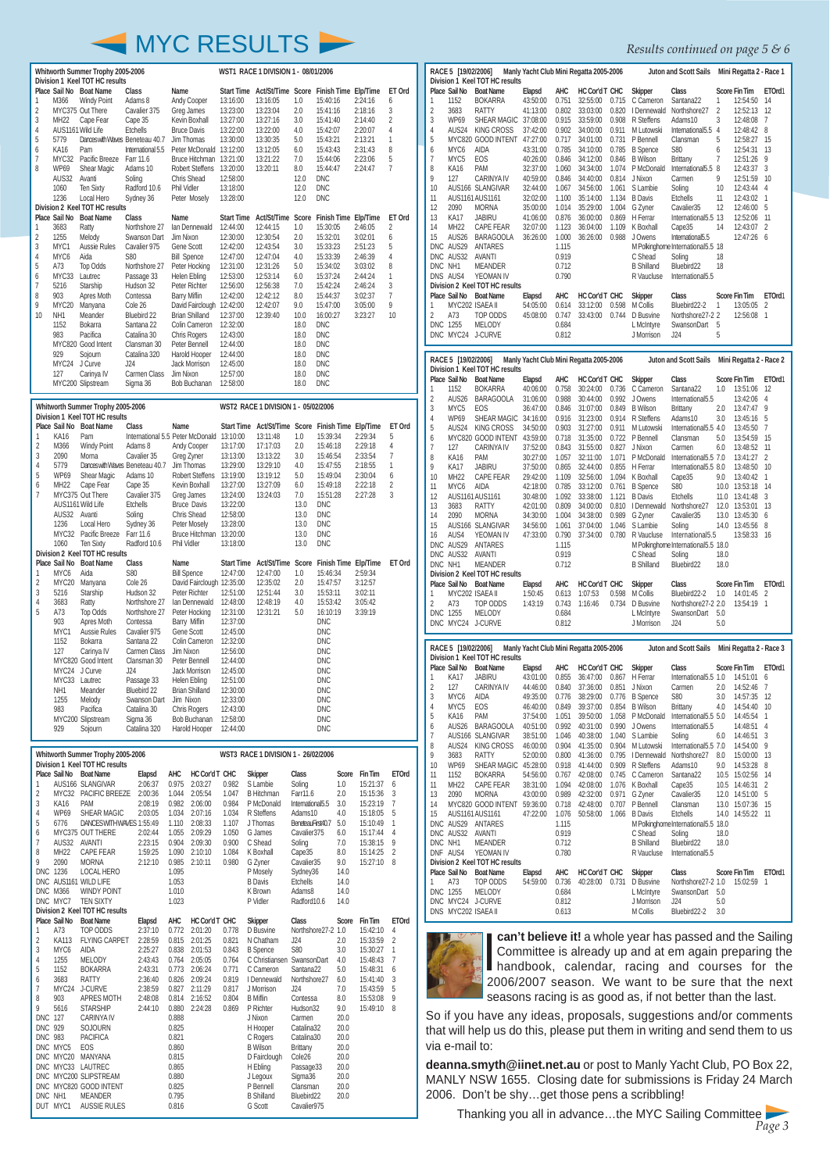# MYC RESULTS

|                     |                         | Whitworth Summer Trophy 2005-2006                         |                                                      | WST1 RACE 1 DIVISION 1 - 08/01/2006       |                      |                                                               |              |                          |                    |                          |
|---------------------|-------------------------|-----------------------------------------------------------|------------------------------------------------------|-------------------------------------------|----------------------|---------------------------------------------------------------|--------------|--------------------------|--------------------|--------------------------|
|                     |                         | Division 1 Keel TOT HC results<br>Place Sail No Boat Name | Class                                                | Name                                      |                      | Start Time Act/St/Time Score Finish Time Elp/Time             |              |                          |                    | ET Ord                   |
| 1                   | M366                    | <b>Windy Point</b>                                        | Adams 8                                              | Andy Cooper                               | 13:16:00             | 13:16:05                                                      | 1.0          | 15:40:16                 | 2:24:16            | 6                        |
| $\overline{2}$      |                         | MYC375 Out There                                          | Cavalier 375                                         | Greg James                                | 13:23:00             | 13:23:04                                                      | 2.0          | 15:41:16                 | 2:18:16            | 3                        |
| 3                   | <b>MH22</b>             | Cape Fear                                                 | Cape 35                                              | Kevin Boxhall                             | 13:27:00             | 13:27:16                                                      | 3.0          | 15:41:40                 | 2:14:40            | $\overline{c}$           |
| 4                   |                         | AUS1161 Wild Life                                         | Etchells                                             | <b>Bruce Davis</b>                        | 13:22:00             | 13:22:00                                                      | 4.0          | 15:42:07                 | 2:20:07            | 4                        |
| 5<br>6              | 5779<br><b>KA16</b>     | Pam                                                       | Dances with Waves Beneteau 40.7<br>International 5.5 | Jim Thomas<br>Peter McDonald 13:12:00     | 13:30:00             | 13:30:35<br>13:12:05                                          | 5.0<br>6.0   | 15:43:21<br>15:43:43     | 2:13:21<br>2:31:43 | 1<br>8                   |
| 7                   |                         | MYC32 Pacific Breeze Farr 11.6                            |                                                      | Bruce Hitchman 13:21:00                   |                      | 13:21:22                                                      | 7.0          | 15:44:06                 | 2:23:06            | 5                        |
| 8                   | <b>WP69</b>             | Shear Magic                                               | Adams 10                                             | Robert Steffens 13:20:00                  |                      | 13:20:11                                                      | 8.0          | 15:44:47                 | 2:24:47            | 7                        |
|                     | AUS32                   | Avanti                                                    | Soling                                               | Chris Shead                               | 12:58:00             |                                                               | 12.0         | <b>DNC</b>               |                    |                          |
|                     | 1060                    | <b>Ten Sixty</b>                                          | Radford 10.6                                         | Phil Vidler                               | 13:18:00             |                                                               | 12.0         | <b>DNC</b>               |                    |                          |
|                     | 1236                    | Local Hero                                                | Sydney 36                                            | Peter Mosely                              | 13:28:00             |                                                               | 12.0         | <b>DNC</b>               |                    |                          |
|                     |                         | Division 2 Keel TOT HC results                            |                                                      |                                           |                      |                                                               |              |                          |                    |                          |
|                     |                         | Place Sail No Boat Name                                   | Class                                                | Name                                      |                      | Start Time Act/St/Time Score Finish Time Elp/Time<br>12:44:15 |              |                          |                    | ET Ord<br>$\overline{c}$ |
| 1<br>$\overline{c}$ | 3683<br>1255            | Ratty<br>Melody                                           | Northshore 27<br>Swanson Dart                        | Ian Dennewald<br>Jim Nixon                | 12:44:00<br>12:30:00 | 12:30:54                                                      | 1.0<br>2.0   | 15:30:05<br>15:32:01     | 2:46:05<br>3:02:01 | 6                        |
| 3                   | MYC1                    | Aussie Rules                                              | Cavalier 975                                         | Gene Scott                                | 12:42:00             | 12:43:54                                                      | 3.0          | 15:33:23                 | 2:51:23            | 5                        |
| 4                   | MYC6                    | Aida                                                      | SRO                                                  | <b>Bill Spence</b>                        | 12:47:00             | 12:47:04                                                      | 4.0          | 15:33:39                 | 2:46:39            | 4                        |
| 5                   | A73                     | Top Odds                                                  | Northshore 27                                        | Peter Hocking                             | 12:31:00             | 12:31:26                                                      | 5.0          | 15:34:02                 | 3:03:02            | 8                        |
| 6                   | MYC33 Lautrec           |                                                           | Passage 33                                           | Helen Ebling                              | 12:53:00             | 12:53:14                                                      | 6.0          | 15:37:24                 | 2:44:24            | 1                        |
| 7                   | 5216                    | Starship                                                  | Hudson 32                                            | Peter Richter                             | 12:56:00             | 12:56:38                                                      | 7.0          | 15:42:24                 | 2:46:24            | 3                        |
| 8                   | 903                     | Apres Moth                                                | Contessa                                             | Barry Miflin                              | 12:42:00             | 12:42:12                                                      | 8.0          | 15:44:37                 | 3:02:37            | $\overline{7}$           |
| 9<br>10             |                         | MYC20 Manyana                                             | Cole 26                                              | David Fairclough 12:42:00                 |                      | 12:42:07                                                      | 9.0          | 15:47:00                 | 3:05:00            | 9                        |
|                     | NH <sub>1</sub><br>1152 | Meander<br>Bokarra                                        | Bluebird 22<br>Santana 22                            | <b>Brian Shilland</b><br>Colin Cameron    | 12:37:00<br>12:32:00 | 12:39:40                                                      | 10.0<br>18.0 | 16:00:27<br><b>DNC</b>   | 3:23:27            | 10                       |
|                     | 983                     | Pacifica                                                  | Catalina 30                                          | <b>Chris Rogers</b>                       | 12:43:00             |                                                               | 18.0         | <b>DNC</b>               |                    |                          |
|                     |                         | MYC820 Good Intent                                        | Clansman 30                                          | Peter Bennell                             | 12:44:00             |                                                               | 18.0         | <b>DNC</b>               |                    |                          |
|                     | 929                     | Sojourn                                                   | Catalina 320                                         | Harold Hooper                             | 12:44:00             |                                                               | 18.0         | <b>DNC</b>               |                    |                          |
|                     | MYC24                   | J Curve                                                   | J24                                                  | Jack Morrison                             | 12:45:00             |                                                               | 18.0         | <b>DNC</b>               |                    |                          |
|                     | 127                     | Carinya IV                                                | Carmen Class                                         | Jim Nixon                                 | 12:57:00             |                                                               | 18.0         | <b>DNC</b>               |                    |                          |
|                     |                         | MYC200 Slipstream                                         | Sigma 36                                             | Bob Buchanan                              | 12:58:00             |                                                               | 18.0         | <b>DNC</b>               |                    |                          |
|                     |                         | Whitworth Summer Trophy 2005-2006                         |                                                      |                                           |                      | WST2 RACE 1 DIVISION 1 - 05/02/2006                           |              |                          |                    |                          |
|                     |                         | Division 1 Keel TOT HC results                            |                                                      |                                           |                      |                                                               |              |                          |                    |                          |
|                     |                         |                                                           |                                                      |                                           |                      |                                                               |              |                          |                    |                          |
|                     |                         | Place Sail No Boat Name                                   | Class                                                | Name                                      |                      | Start Time Act/St/Time Score Finish Time Elp/Time             |              |                          |                    | ET Ord                   |
| 1                   | <b>KA16</b>             | Pam                                                       |                                                      | International 5.5 Peter McDonald 13:10:00 |                      | 13:11:48                                                      | 1.0          | 15:39:34                 | 2:29:34            | 5                        |
| $\overline{c}$      | M366                    | Windy Point                                               | Adams 8                                              | Andy Cooper                               | 13:17:00             | 17:17:03                                                      | 2.0          | 15:46:18                 | 2:29:18            | $\overline{4}$           |
| 3                   | 2090                    | Morna                                                     | Cavalier 35                                          | Greg Zyner                                | 13:13:00             | 13:13:22                                                      | 3.0          | 15:46:54                 | 2:33:54            | $\overline{7}$           |
| 4<br>5              | 5779<br><b>WP69</b>     | Shear Magic                                               | Dances with Waves Beneteau 40.7<br>Adams 10          | Jim Thomas<br>Robert Steffens 13:19:00    | 13:29:00             | 13:29:10<br>13:19:12                                          | 4.0<br>5.0   | 15:47:55<br>15:49:04     | 2:18:55<br>2:30:04 | 1<br>6                   |
| 6                   | <b>MH22</b>             | Cape Fear                                                 | Cape 35                                              | Kevin Boxhall                             | 13:27:00             | 13:27:09                                                      | 6.0          | 15:49:18                 | 2:22:18            | 2                        |
| $\overline{7}$      |                         | MYC375 Out There                                          | Cavalier 375                                         | Greg James                                | 13:24:00             | 13:24:03                                                      | 7.0          | 15:51:28                 | 2:27:28            | 3                        |
|                     |                         | AUS1161 Wild Life                                         | Etchells                                             | <b>Bruce Davis</b>                        | 13:22:00             |                                                               | 13.0         | <b>DNC</b>               |                    |                          |
|                     | AUS32 Avanti            |                                                           | Soling                                               | Chris Shead                               | 12:58:00             |                                                               | 13.0         | <b>DNC</b>               |                    |                          |
|                     | 1236                    | Local Hero                                                | Sydney 36                                            | Peter Mosely                              | 13:28:00             |                                                               | 13.0         | <b>DNC</b>               |                    |                          |
|                     |                         | MYC32 Pacific Breeze Farr 11.6                            |                                                      | Bruce Hitchman 13:20:00                   |                      |                                                               | 13.0         | <b>DNC</b>               |                    |                          |
|                     | 1060                    | <b>Ten Sixty</b>                                          | Radford 10.6                                         | <b>Phil Vidler</b>                        | 13:18:00             |                                                               | 13.0         | <b>DNC</b>               |                    |                          |
|                     |                         | Division 2 Keel TOT HC results                            |                                                      |                                           |                      |                                                               |              |                          |                    |                          |
| 1                   | MYC6                    | Place Sail No Boat Name<br>Aida                           | Class<br>S80                                         | Name<br><b>Bill Spence</b>                | 12:47:00             | Start Time Act/St/Time Score Finish Time Elp/Time<br>12:47:00 | 1.0          | 15:46:34                 | 2:59:34            | ET Ord                   |
| $\overline{c}$      |                         | MYC20 Manyana                                             | Cole 26                                              | David Fairclough 12:35:00                 |                      | 12:35:02                                                      | 2.0          | 15:47:57                 | 3:12:57            |                          |
| 3                   | 5216                    | Starship                                                  | Hudson 32                                            | Peter Richter                             | 12:51:00             | 12:51:44                                                      | 3.0          | 15:53:11                 | 3:02:11            |                          |
| 4                   | 3683                    | Ratty                                                     | Northshore 27                                        | Ian Dennewald                             | 12:48:00             | 12:48:19                                                      | 4.0          | 15:53:42                 | 3:05:42            |                          |
| 5                   | A73                     | <b>Top Odds</b>                                           | Northshore 27                                        | Peter Hocking                             | 12:31:00             | 12:31:21                                                      | 5.0          | 16:10:19                 | 3:39:19            |                          |
|                     | 903                     | Apres Moth                                                | Contessa                                             | Barry Miflin                              | 12:37:00             |                                                               |              | <b>DNC</b>               |                    |                          |
|                     | MYC1                    | Aussie Rules                                              | Cavalier 975                                         | Gene Scott                                | 12:45:00             |                                                               |              | <b>DNC</b>               |                    |                          |
|                     | 1152                    | Bokarra                                                   | Santana 22                                           | Colin Cameron 12:32:00                    |                      |                                                               |              | <b>DNC</b>               |                    |                          |
|                     | 127                     | Carinya IV<br>MYC820 Good Intent                          | Carmen Class<br>Clansman 30                          | Jim Nixon<br>Peter Bennell                | 12:56:00<br>12:44:00 |                                                               |              | <b>DNC</b><br><b>DNC</b> |                    |                          |
|                     |                         | MYC24 J Curve                                             | J24                                                  | Jack Morrison                             | 12:45:00             |                                                               |              | <b>DNC</b>               |                    |                          |
|                     | MYC33 Lautrec           |                                                           | Passage 33                                           | Helen Ebling                              | 12:51:00             |                                                               |              | <b>DNC</b>               |                    |                          |
|                     | NH <sub>1</sub>         | Meander                                                   | Bluebird 22                                          | <b>Brian Shilland</b>                     | 12:30:00             |                                                               |              | <b>DNC</b>               |                    |                          |
|                     | 1255                    | Melody                                                    | Swanson Dart                                         | Jim Nixon                                 | 12:33:00             |                                                               |              | <b>DNC</b>               |                    |                          |
|                     | 983                     | Pacifica                                                  | Catalina 30                                          | Chris Rogers                              | 12:43:00             |                                                               |              | <b>DNC</b>               |                    |                          |
|                     |                         | MYC200 Slipstream                                         | Sigma 36                                             | Bob Buchanan                              | 12:58:00             |                                                               |              | <b>DNC</b>               |                    |                          |
|                     | 929                     | Sojourn                                                   | Catalina 320                                         | Harold Hooper                             | 12:44:00             |                                                               |              | <b>DNC</b>               |                    |                          |

|                |                 | Whitworth Summer Trophy 2005-2006           |                   |                     |                                  |       | WS13 RACE 1 DIVISION 1 - 26/02/2006 |                        |              |                     |                   |
|----------------|-----------------|---------------------------------------------|-------------------|---------------------|----------------------------------|-------|-------------------------------------|------------------------|--------------|---------------------|-------------------|
|                |                 | Division 1 Keel TOT HC results              |                   |                     |                                  |       |                                     |                        |              |                     |                   |
| 1              |                 | Place Sail No Boat Name<br>AUS166 SLANGIVAR | Elapsd<br>2:06:37 | <b>AHC</b><br>0.975 | <b>HC Cor'd T CHC</b><br>2:03:27 | 0.982 | Skipper<br>S Lambie                 | <b>Class</b><br>Soling | Score<br>1.0 | Fin Tim<br>15:21:37 | <b>ETOrd</b><br>6 |
| $\overline{2}$ |                 | MYC32 PACIFIC BREEZE                        | 2:00:36           | 1.044               | 2:05:54                          | 1.047 | B Hitchman                          | Farr11.6               | 2.0          | 15:15:36            | 3                 |
| 3              | <b>KA16</b>     | PAM                                         | 2:08:19           | 0.982               | 2:06:00                          | 0.984 | P McDonald                          | International5.5       | 3.0          | 15:23:19            | $\overline{7}$    |
| 4              | <b>WP69</b>     | <b>SHEAR MAGIC</b>                          | 2:03:05           | 1.034               | 2:07:16                          | 1.034 | R Steffens                          | Adams10                | 4.0          | 15:18:05            | 5                 |
| 5              | 6776            | DANCES WITH WAVES 1:55:49                   |                   | 1.110               | 2:08:33                          | 1.107 | J Thomas                            | BeneteauFirst40.7      | 5.0          | 15:10:49            | 1                 |
| 6              |                 | MYC375 OUT THERE                            | 2:02:44           | 1.055               | 2:09:29                          | 1.050 | G James                             | Cavalier375            | 6.0          | 15:17:44            | $\overline{4}$    |
| 7              | AUS32           | <b>AVANTI</b>                               | 2:23:15           | 0.904               | 2:09:30                          | 0.900 | C Shead                             | Soling                 | 7.0          | 15:38:15            | 9                 |
| 8              | <b>MH22</b>     | CAPE FEAR                                   | 1:59:25           | 1.090               | 2:10:10                          | 1.084 | K Boxhall                           | Cape35                 | 8.0          | 15:14:25            | $\overline{2}$    |
| 9              | 2090            | <b>MORNA</b>                                | 2:12:10           | 0.985               | 2:10:11                          | 0.980 | G Zyner                             | Cavalier35             | 9.0          | 15:27:10 8          |                   |
|                | DNC 1236        | LOCAL HERO                                  |                   | 1.095               |                                  |       | P Mosely                            | Sydney36               | 14.0         |                     |                   |
|                |                 | DNC AUS1161 WILD LIFE                       |                   | 1.053               |                                  |       | <b>B</b> Davis                      | <b>Etchells</b>        | 14.0         |                     |                   |
|                | <b>DNC M366</b> | <b>WINDY POINT</b>                          |                   | 1.010               |                                  |       | K Brown                             | Adams8                 | 14.0         |                     |                   |
|                | DNC MYC7        | <b>TEN SIXTY</b>                            |                   | 1.023               |                                  |       | P Vidler                            | Radford10.6            | 14.0         |                     |                   |
|                |                 | Division 2 Keel TOT HC results              |                   |                     |                                  |       |                                     |                        |              |                     |                   |
|                | Place Sail No   | <b>Boat Name</b>                            | Elapsd            | <b>AHC</b>          | <b>HC Cor'd T CHC</b>            |       | <b>Skipper</b>                      | Class                  | Score        | Fin Tim             | <b>ETOrd</b>      |
| 1              | A73             | TOP ODDS                                    | 2:37:10           | 0.772               | 2:01:20                          | 0.778 | D Busvine                           | Northshore27-2 1.0     |              | 15:42:10            | 4                 |
| $\overline{2}$ | KA113           | <b>FLYING CARPET</b>                        | 2:28:59           | 0.815               | 2:01:25                          | 0.821 | N Chatham                           | J24                    | 2.0          | 15:33:59            | $\overline{2}$    |
| 3              | MYC6            | <b>AIDA</b>                                 | 2:25:27           | 0.838               | 2:01:53                          | 0.843 | <b>B</b> Spence                     | S80                    | 3.0          | 15:30:27            | 1                 |
| 4              | 1255            | MELODY                                      | 2:43:43           | 0.764               | 2:05:05                          | 0.764 | C Christiansen SwansonDart          |                        | 4.0          | 15:48:43            | $\overline{7}$    |
| 5              | 1152            | <b>BOKARRA</b>                              | 2:43:31           | 0.773               | 2:06:24                          | 0.771 | C Cameron                           | Santana22              | 5.0          | 15:48:31            | 6                 |
| 6              | 3683            | <b>RATTY</b>                                | 2:36:40           | 0.826               | 2:09:24                          | 0.819 | I Dennewald                         | Northshore27           | 6.0          | 15:41:40            | 3                 |
| $\overline{7}$ | MYC24           | <b>J-CURVE</b>                              | 2:38:59           | 0.827               | 2:11:29                          | 0.817 | J Morrison                          | J24                    | 7.0          | 15:43:59            | 5                 |
| 8              | 903             | APRES MOTH                                  | 2:48:08           | 0.814               | 2:16:52                          | 0.804 | <b>B</b> Miflin                     | Contessa               | 8.0          | 15:53:08            | 9                 |
| 9              | 5616            | <b>STARSHIP</b>                             | 2:44:10           | 0.880               | 2:24:28                          | 0.869 | P Richter                           | Hudson32               | 9.0          | 15:49:10            | 8                 |
| <b>DNC</b>     | 127             | <b>CARINYA IV</b>                           |                   | 0.888               |                                  |       | J Nixon                             | Carmen                 | 20.0         |                     |                   |
| DNC 929        |                 | SOJOURN                                     |                   | 0.825               |                                  |       | H Hooper                            | Catalina32             | 20.0         |                     |                   |
| <b>DNC 983</b> |                 | <b>PACIFICA</b>                             |                   | 0.821               |                                  |       | C Rogers                            | Catalina30             | 20.0         |                     |                   |
|                | DNC MYC5        | EOS                                         |                   | 0.860               |                                  |       | <b>B</b> Wilson                     | Brittany               | 20.0         |                     |                   |
|                | DNC MYC20       | MANYANA                                     |                   | 0.815               |                                  |       | D Fairclough                        | Cole26                 | 20.0         |                     |                   |
|                |                 | DNC MYC33 LAUTREC                           |                   | 0.865               |                                  |       | H Ebling                            | Passage33              | 20.0         |                     |                   |
|                |                 | DNC MYC200 SLIPSTREAM                       |                   | 0.880               |                                  |       | J Legoux                            | Sigma36                | 20.0         |                     |                   |
|                |                 | DNC MYC820 GOOD INTENT                      |                   | 0.825               |                                  |       | P Bennell                           | Clansman               | 20.0         |                     |                   |
| DNC NH1        |                 | <b>MEANDER</b>                              |                   | 0.795               |                                  |       | <b>B</b> Shilland                   | Bluebird22             | 20.0         |                     |                   |
|                | DUT MYC1        | <b>AUSSIE RULES</b>                         |                   | 0.816               |                                  |       | G Scott                             | Cavalier975            |              |                     |                   |
|                |                 |                                             |                   |                     |                                  |       |                                     |                        |              |                     |                   |

#### *Results continued on page 5 & 6*

|                     | RACE 5 [19/02/2006]                      |                                                           |                      |                | Manly Yacht Club Mini Regatta 2005-2006 |                |                                    | Juton and Scott Sails                                     |                | Mini Regatta 2 - Race 1              |                   |
|---------------------|------------------------------------------|-----------------------------------------------------------|----------------------|----------------|-----------------------------------------|----------------|------------------------------------|-----------------------------------------------------------|----------------|--------------------------------------|-------------------|
|                     | Place Sail No                            | Division 1 Keel TOT HC results<br><b>Boat Name</b>        | Elapsd               | <b>AHC</b>     | <b>HC Cor'd T CHC</b>                   |                | <b>Skipper</b>                     | Class                                                     |                | Score Fin Tim                        | ETOrd1            |
| 1                   | 1152                                     | <b>BOKARRA</b>                                            | 43:50:00             | 0.751          | 32:55:00                                | 0.715          | C Cameron                          | Santana22                                                 | 1              | 12:54:50                             | 14                |
| $\overline{2}$      | 3683                                     | <b>RATTY</b>                                              | 41:13:00             | 0.802          | 33:03:00                                | 0.820          |                                    | I Dennewald Northshore27                                  | 2              | 12:52:13                             | 12                |
| 3                   | <b>WP69</b>                              | SHEAR MAGIC                                               | 37:08:00             | 0.915          | 33:59:00                                | 0.908          | R Steffens                         | Adams10                                                   | 3              | 12:48:08                             | 7                 |
| 4                   | AUS24                                    | <b>KING CROSS</b>                                         | 37:42:00             | 0.902          | 34:00:00                                | 0.911          | M Lutowski                         | International5.5 4                                        |                | 12:48:42                             | 8                 |
| 5                   |                                          | MYC820 GOOD INTENT 47:27:00                               |                      | 0.717          | 34:01:00                                | 0.731          | P Bennell                          | Clansman                                                  | 5              | 12:58:27                             | 15                |
| 6                   | MYC6                                     | AIDA                                                      | 43:31:00             | 0.785          | 34:10:00                                | 0.785          | <b>B</b> Spence<br><b>B</b> Wilson | S80                                                       | 6              | 12:54:31                             | 13<br>9           |
| 7<br>8              | MYC5<br><b>KA16</b>                      | EOS<br>PAM                                                | 40:26:00<br>32:37:00 | 0.846<br>1.060 | 34:12:00<br>34:34:00                    | 0.846<br>1.074 | P McDonald                         | Brittany<br>International5.5 8                            | $\overline{7}$ | 12:51:26<br>12:43:37                 | 3                 |
| 9                   | 127                                      | CARINYA IV                                                | 40:59:00             | 0.846          | 34:40:00                                | 0.814          | J Nixon                            | Carmen                                                    | 9              | 12:51:59                             | 10                |
| 10                  |                                          | AUS166 SLANGIVAR                                          | 32:44:00             | 1.067          | 34:56:00                                | 1.061          | S Lambie                           | Soling                                                    | 10             | 12:43:44                             | 4                 |
| 11                  |                                          | AUS1161 AUS1161                                           | 32:02:00             | 1.100          | 35:14:00                                | 1.134          | <b>B</b> Davis                     | Etchells                                                  | 11             | 12:43:02                             | 1                 |
| 12                  | 2090                                     | <b>MORNA</b>                                              | 35:00:00             | 1.014          | 35:29:00                                | 1.004          | G Zyner                            | Cavalier35                                                | 12             | 12:46:00                             | 5                 |
| 13                  | <b>KA17</b>                              | <b>JABIRU</b>                                             | 41:06:00             | 0.876          | 36:00:00                                | 0.869          | H Ferrar                           | International5.5 13                                       |                | 12:52:06                             | 11                |
| 14                  | <b>MH22</b>                              | CAPE FEAR                                                 | 32:07:00             | 1.123          | 36:04:00                                | 1.109          | K Boxhall                          | Cape35                                                    | 14             | 12:43:07                             | $\overline{2}$    |
| 15                  | AUS26<br>DNC AUS29                       | <b>BARAGOOLA</b><br>ANTARES                               | 36:26:00             | 1.000<br>1.115 | 36:26:00                                | 0.988          | J Owens                            | International5.5<br>M Polkinghome International5.5 18     |                | 12:47:26                             | - 6               |
|                     | DNC AUS32                                | <b>AVANTI</b>                                             |                      | 0.919          |                                         |                | C Shead                            | Soling                                                    | 18             |                                      |                   |
|                     | DNC NH1                                  | <b>MEANDER</b>                                            |                      | 0.712          |                                         |                | <b>B</b> Shilland                  | Bluebird22                                                | 18             |                                      |                   |
|                     | DNS AUS4                                 | YEOMAN IV                                                 |                      | 0.790          |                                         |                | R Vaucluse                         | International5.5                                          |                |                                      |                   |
|                     |                                          | Division 2 Keel TOT HC results                            |                      |                |                                         |                |                                    |                                                           |                |                                      |                   |
|                     | Place Sail No                            | <b>Boat Name</b>                                          | Elapsd               | <b>AHC</b>     | <b>HC Cord T CHC</b>                    |                | <b>Skipper</b>                     | Class                                                     |                | Score Fin Tim                        | ETOrd1            |
| 1<br>$\overline{2}$ | A73                                      | MYC202 ISAEA II<br>TOP ODDS                               | 54:05:00<br>45:08:00 | 0.614<br>0.747 | 33:12:00<br>33:43:00                    | 0.598<br>0.744 | M Collis<br>D Busvine              | Bluebird22-2<br>Northshore27-2 2                          | 1              | 13:05:05<br>12:56:08                 | 2<br>$\mathbf{1}$ |
|                     | DNC 1255                                 | MELODY                                                    |                      | 0.684          |                                         |                | L McIntyre                         | SwansonDart                                               | 5              |                                      |                   |
|                     | DNC MYC24                                | <b>J-CURVE</b>                                            |                      | 0.812          |                                         |                | J Morrison                         | J24                                                       | 5              |                                      |                   |
|                     |                                          |                                                           |                      |                |                                         |                |                                    |                                                           |                |                                      |                   |
|                     | RACE 5 [19/02/2006]                      |                                                           |                      |                | Manly Yacht Club Mini Regatta 2005-2006 |                |                                    | Juton and Scott Sails                                     |                | Mini Regatta 2 - Race 2              |                   |
|                     | Place Sail No                            | Division 1 Keel TOT HC results<br><b>Boat Name</b>        | Elapsd               | <b>AHC</b>     | <b>HC Cor'd T CHC</b>                   |                | <b>Skipper</b>                     | Class                                                     |                | Score Fin Tim                        | ETOrd1            |
| 1                   | 1152                                     | <b>BOKARRA</b>                                            | 40:06:00             | 0.758          | 30:24:00                                | 0.736          | C Cameron                          | Santana22                                                 | 1.0            | 13:51:06                             | 12                |
| $\overline{2}$      | AUS26                                    | <b>BARAGOOLA</b>                                          | 31:06:00             | 0.988          | 30:44:00                                | 0.992          | J Owens                            | International5.5                                          |                | 13:42:06                             | 4                 |
| 3                   | MYC <sub>5</sub>                         | EOS                                                       | 36:47:00             | 0.846          | 31:07:00                                | 0.849          | <b>B</b> Wilson                    | Brittany                                                  | 2.0            | 13:47:47                             | 9                 |
| 4                   | <b>WP69</b>                              | SHEAR MAGIC                                               | 34:16:00             | 0.916          | 31:23:00                                | 0.914          | R Steffens                         | Adams10                                                   | 3.0            | 13:45:16                             | 5                 |
| 5                   | AUS24                                    | <b>KING CROSS</b>                                         | 34:50:00             | 0.903          | 31:27:00                                | 0.911          | M Lutowski                         | International5.5 4.0                                      |                | 13:45:50                             | 7                 |
| 6<br>7              | 127                                      | MYC820 GOOD INTENT 43:59:00                               | 37:52:00             | 0.718          | 31:35:00                                | 0.722          | P Bennell                          | Clansman                                                  | 5.0            | 13:54:59                             | 15<br>11          |
| 8                   | <b>KA16</b>                              | <b>CARINYA IV</b><br>PAM                                  | 30:27:00             | 0.843<br>1.057 | 31:55:00<br>32:11:00                    | 0.827<br>1.071 | J Nixon<br>P McDonald              | Carmen<br>International5.5 7.0                            | 6.0            | 13:48:52<br>13:41:27                 | $\overline{2}$    |
| 9                   | <b>KA17</b>                              | JABIRU                                                    | 37:50:00             | 0.865          | 32:44:00                                | 0.855          | H Ferrar                           | International5.5 8.0                                      |                | 13:48:50                             | 10                |
| 10                  | <b>MH22</b>                              | CAPE FEAR                                                 | 29:42:00             | 1.109          | 32:56:00                                | 1.094          | K Boxhall                          | Cape35                                                    | 9.0            | 13:40:42                             | 1                 |
| 11                  | MYC <sub>6</sub>                         | AIDA                                                      | 42:18:00             | 0.785          | 33:12:00                                | 0.761          | <b>B</b> Spence                    | S80                                                       |                | 10.0 13:53:18                        | 14                |
| 12                  |                                          | AUS1161 AUS1161                                           | 30:48:00             | 1.092          | 33:38:00                                | 1.121          | <b>B</b> Davis                     | Etchells                                                  |                | 11.0 13:41:48                        | 3                 |
| 13                  | 3683                                     | RATTY                                                     | 42:01:00             | 0.809          | 34:00:00                                | 0.810          |                                    | I Dennewald Northshore27                                  |                | 12.0 13:53:01                        | 13                |
| 14                  | 2090                                     | <b>MORNA</b>                                              | 34:30:00             | 1.004          | 34:38:00                                | 0.989          | G Zyner                            | Cavalier35                                                |                | 13.0 13:45:30                        | 6                 |
| 15<br>16            | AUS4                                     | AUS166 SLANGIVAR<br>YEOMAN IV                             | 34:56:00<br>47:33:00 | 1.061<br>0.790 | 37:04:00<br>37:34:00                    | 1.046<br>0.780 | S Lambie<br>R Vaucluse             | Soling<br>International5.5                                |                | 14.0 13:45:56<br>13:58:33            | 8<br>16           |
|                     | DNC AUS29                                | ANTARES                                                   |                      | 1.115          |                                         |                |                                    | M Polkinghorne International 5.5 18.0                     |                |                                      |                   |
|                     | DNC AUS32                                | AVANTI                                                    |                      | 0.919          |                                         |                | C Shead                            | Soling                                                    | 18.0           |                                      |                   |
|                     | DNC NH1                                  | <b>MEANDER</b>                                            |                      | 0.712          |                                         |                | <b>B</b> Shilland                  | Bluebird22                                                | 18.0           |                                      |                   |
|                     | Place Sail No                            | Division 2 Keel TOT HC results                            |                      | <b>AHC</b>     | <b>HC Cord T CHC</b>                    |                |                                    | Class                                                     |                | Score Fin Tim                        |                   |
| 1                   |                                          | <b>Boat Name</b><br>MYC202 ISAEA II                       | Elapsd<br>1:50:45    | 0.613          | 1:07:53                                 | 0.598          | <b>Skipper</b><br>M Collis         | Bluebird22-2                                              | 1.0            | 14:01:45                             | ETOrd1<br>2       |
| $\overline{2}$      | A73                                      | TOP ODDS                                                  | 1:43:19              | 0.743          | 1:16:46                                 | 0.734          | D Busvine                          | Northshore27-2 2.0                                        |                | 13:54:19                             | $\mathbf{1}$      |
|                     | DNC 1255                                 | <b>MELODY</b>                                             |                      | 0.684          |                                         |                | L McIntvre                         | SwansonDart                                               | 5.0            |                                      |                   |
|                     | DNC MYC24 J-CURVE                        |                                                           |                      | 0.812          |                                         |                | J Morrison                         | J24                                                       | 5.0            |                                      |                   |
|                     |                                          |                                                           |                      |                |                                         |                |                                    |                                                           |                |                                      |                   |
|                     | RACE 5 [19/02/2006]                      | Division 1 Keel TOT HC results                            |                      |                | Manly Yacht Club Mini Regatta 2005-2006 |                |                                    | Juton and Scott Sails Mini Regatta 2 - Race 3             |                |                                      |                   |
|                     | Place Sail No                            | <b>Boat Name</b>                                          | Elapsd               | <b>AHC</b>     | HC Cor'd T CHC                          |                | <b>Skipper</b>                     | Class                                                     |                | Score Fin Tim                        | ETOrd1            |
| 1                   | <b>KA17</b>                              | <b>JABIRU</b>                                             | 43:01:00             | 0.855          | 36:47:00 0.867                          |                | H Ferrar                           | International5.5 1.0                                      |                | 14:51:01                             | 6                 |
| $\overline{2}$      | 127                                      | CARINYA IV                                                | 44:46:00 0.840       |                | 37:36:00 0.851 J Nixon                  |                |                                    | Carmen                                                    | 2.0            | 14:52:46 7                           |                   |
| 3                   | MYC6                                     | AIDA                                                      | 49:35:00             |                | 0.776 38:29:00                          |                | 0.776 B Spence                     | S80                                                       | 3.0            | 14:57:35 12                          |                   |
| 4                   | MYC5                                     | EOS                                                       | 46:40:00             |                | 0.849 39:37:00                          |                | 0.854 B Wilson                     | Brittany                                                  | 4.0            | 14:54:40 10                          |                   |
| 5<br>6              | KA16                                     | PAM                                                       | 37:54:00<br>40:51:00 | 1.051          | 39:50:00<br>0.992 40:31:00              |                | 0.990 J Owens                      | 1.058 P McDonald International5.5 5.0<br>International5.5 |                | 14:45:54 1<br>14:48:51 4             |                   |
|                     |                                          |                                                           |                      |                |                                         |                |                                    |                                                           |                |                                      |                   |
|                     | AUS26                                    | <b>BARAGOOLA</b>                                          |                      |                |                                         |                |                                    |                                                           |                |                                      |                   |
| 7<br>8              |                                          | AUS166 SLANGIVAR<br>AUS24 KING CROSS                      | 38:51:00<br>46:00:00 | 0.904          | 1.046 40:38:00<br>41:35:00              |                | 1.040 S Lambie<br>0.904 M Lutowski | Soling<br>International5.5 7.0                            | 6.0            | 14:46:51 3<br>14:54:00 9             |                   |
| 9                   | 3683                                     | RATTY                                                     |                      |                | 52:00:00  0.800  41:36:00               |                |                                    | 0.795   Dennewald Northshore27                            | 8.0            | 15:00:00 13                          |                   |
| 10                  | WP69                                     | SHEAR MAGIC 45:28:00  0.918  41:44:00                     |                      |                |                                         |                | 0.909 R Steffens                   | Adams10                                                   | 9.0            | 14:53:28 8                           |                   |
| 11                  | 1152                                     | <b>BOKARRA</b>                                            | 54:56:00             | 0.767          | 42:08:00                                |                | 0.745 C Cameron                    | Santana22                                                 |                | 10.5 15:02:56 14                     |                   |
| 11                  | MH22                                     | CAPE FEAR                                                 | 38:31:00             |                | 1.094 42:08:00                          |                | 1.076 K Boxhall                    | Cape35                                                    |                | 10.5 14:46:31                        | $\overline{2}$    |
| 13<br>14            | 2090                                     | <b>MORNA</b>                                              |                      |                | 43:00:00  0.989  42:32:00               |                | 0.971 G Zyner                      | Cavalier35                                                |                | 12.0 14:51:00 5                      |                   |
| 15                  |                                          | MYC820 GOOD INTENT 59:36:00<br>AUS1161 AUS1161            | 47:22:00             | 0.718          | 42:48:00<br>1.076 50:58:00              |                | 0.707 P Bennell<br>1.066 B Davis   | Clansman<br>Etchells                                      |                | 13.0 15:07:36 15<br>14.0 14:55:22 11 |                   |
|                     |                                          | DNC AUS29 ANTARES                                         |                      | 1.115          |                                         |                |                                    | M PolkinghorneInternational5.5 18.0                       |                |                                      |                   |
|                     | DNC AUS32 AVANTI                         |                                                           |                      | 0.919          |                                         |                | C Shead                            | Soling                                                    | 18.0           |                                      |                   |
|                     | DNC NH1                                  | <b>MEANDER</b>                                            |                      | 0.712          |                                         |                | <b>B</b> Shilland                  | Bluebird22                                                | 18.0           |                                      |                   |
|                     | DNF AUS4                                 | YEOMAN IV                                                 |                      | 0.780          |                                         |                | R Vaucluse                         | International5.5                                          |                |                                      |                   |
|                     |                                          | Division 2 Keel TOT HC results<br>Place Sail No Boat Name | Elapsd               | AHC            | HC Cord T CHC                           |                | <b>Skipper</b>                     | Class                                                     |                | Score Fin Tim                        | ETOrd1            |
| 1                   | A73                                      | TOP ODDS                                                  | 54:59:00             | 0.736          | 40:28:00 0.731                          |                | D Busvine                          | Northshore27-2 1.0                                        |                | 15:02:59 1                           |                   |
|                     | DNC 1255                                 | MELODY                                                    |                      | 0.684          |                                         |                | L McIntyre                         | SwansonDart 5.0                                           |                |                                      |                   |
|                     | DNC MYC24 J-CURVE<br>DNS MYC202 ISAEA II |                                                           |                      | 0.812<br>0.613 |                                         |                | J Morrison<br>M Collis             | J24<br>Bluebird22-2                                       | 5.0<br>3.0     |                                      |                   |



can't believe it! a whole year has passed and the Sailing<br>Committee is already up and at em again preparing the<br>handbook, calendar, racing and courses for the<br>2006/2007 calendar, We want to be sure that the part **can't believe it!** a whole year has passed and the Sailing Committee is already up and at em again preparing the 2006/2007 season. We want to be sure that the next seasons racing is as good as, if not better than the last.

So if you have any ideas, proposals, suggestions and/or comments that will help us do this, please put them in writing and send them to us via e-mail to:

**deanna.smyth@iinet.net.au**or post to Manly Yacht Club, PO Box 22, MANLY NSW 1655. Closing date for submissions is Friday 24 March 2006. Don't be shy…get those pens a scribbling!

Thanking you all in advance...the MYC Sailing Committee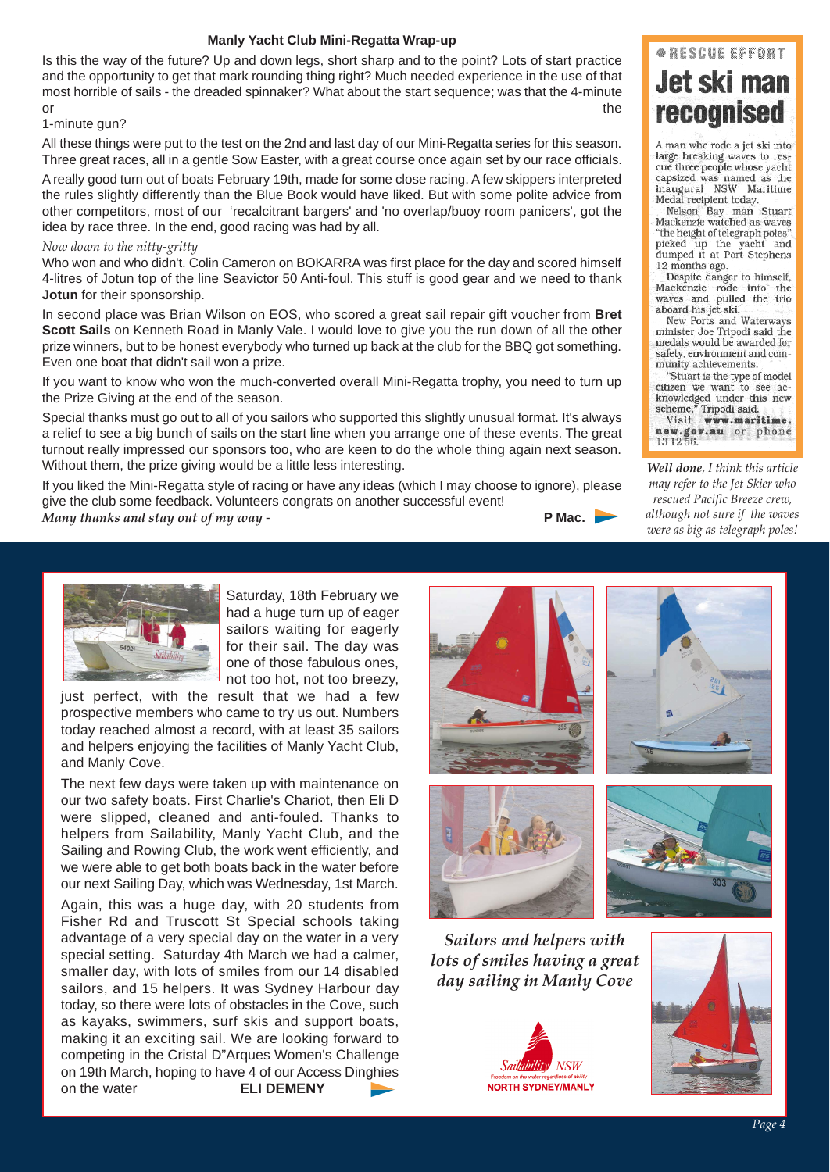#### **Manly Yacht Club Mini-Regatta Wrap-up**

Is this the way of the future? Up and down legs, short sharp and to the point? Lots of start practice and the opportunity to get that mark rounding thing right? Much needed experience in the use of that most horrible of sails - the dreaded spinnaker? What about the start sequence; was that the 4-minute or the contract of the contract of the contract of the contract of the contract of the contract of the contract of the contract of the contract of the contract of the contract of the contract of the contract of the contrac

#### 1-minute gun?

All these things were put to the test on the 2nd and last day of our Mini-Regatta series for this season. Three great races, all in a gentle Sow Easter, with a great course once again set by our race officials.

A really good turn out of boats February 19th, made for some close racing. A few skippers interpreted the rules slightly differently than the Blue Book would have liked. But with some polite advice from other competitors, most of our 'recalcitrant bargers' and 'no overlap/buoy room panicers', got the idea by race three. In the end, good racing was had by all.

#### *Now down to the nitty-gritty*

Who won and who didn't. Colin Cameron on BOKARRA was first place for the day and scored himself 4-litres of Jotun top of the line Seavictor 50 Anti-foul. This stuff is good gear and we need to thank **Jotun** for their sponsorship.

In second place was Brian Wilson on EOS, who scored a great sail repair gift voucher from **Bret Scott Sails** on Kenneth Road in Manly Vale. I would love to give you the run down of all the other prize winners, but to be honest everybody who turned up back at the club for the BBQ got something. Even one boat that didn't sail won a prize.

If you want to know who won the much-converted overall Mini-Regatta trophy, you need to turn up the Prize Giving at the end of the season.

Special thanks must go out to all of you sailors who supported this slightly unusual format. It's always a relief to see a big bunch of sails on the start line when you arrange one of these events. The great turnout really impressed our sponsors too, who are keen to do the whole thing again next season. Without them, the prize giving would be a little less interesting.

If you liked the Mini-Regatta style of racing or have any ideas (which I may choose to ignore), please give the club some feedback. Volunteers congrats on another successful event!

*Many thanks and stay out of my way* - **P Mac.** 



A man who rode a jet ski into large breaking waves to rescue three people whose yacht capsized was named as the inaugural NSW Maritime Medal recipient today.<br>Nelson Bay man Stuart

Mackenzie watched as waves "the height of telegraph poles" picked up the yacht and<br>dumped it at Port Stephens 12 months ago.

Despite danger to himself, Mackenzie rode into the<br>waves and pulled the trio<br>aboard his jet ski.

New Ports and Waterways minister Joe Tripodi said the medals would be awarded for safety, environment and community achievements.

'Stuart is the type of model citizen we want to see acknowledged under this new scheme, Tripodi said.<br>Visit www.maritime.

nsw.gov.au or phone<br>13 12 56.

*Well done, I think this article may refer to the Jet Skier who rescued Pacific Breeze crew, although not sure if the waves were as big as telegraph poles!*



Saturday, 18th February we had a huge turn up of eager sailors waiting for eagerly for their sail. The day was one of those fabulous ones, not too hot, not too breezy,

just perfect, with the result that we had a few prospective members who came to try us out. Numbers today reached almost a record, with at least 35 sailors and helpers enjoying the facilities of Manly Yacht Club, and Manly Cove.

The next few days were taken up with maintenance on our two safety boats. First Charlie's Chariot, then Eli D were slipped, cleaned and anti-fouled. Thanks to helpers from Sailability, Manly Yacht Club, and the Sailing and Rowing Club, the work went efficiently, and we were able to get both boats back in the water before our next Sailing Day, which was Wednesday, 1st March.

Again, this was a huge day, with 20 students from Fisher Rd and Truscott St Special schools taking advantage of a very special day on the water in a very special setting. Saturday 4th March we had a calmer, smaller day, with lots of smiles from our 14 disabled sailors, and 15 helpers. It was Sydney Harbour day today, so there were lots of obstacles in the Cove, such as kayaks, swimmers, surf skis and support boats, making it an exciting sail. We are looking forward to competing in the Cristal D"Arques Women's Challenge on 19th March, hoping to have 4 of our Access Dinghies on the water **ELI DEMENY**









*Sailors and helpers with lots of smiles having a great day sailing in Manly Cove*



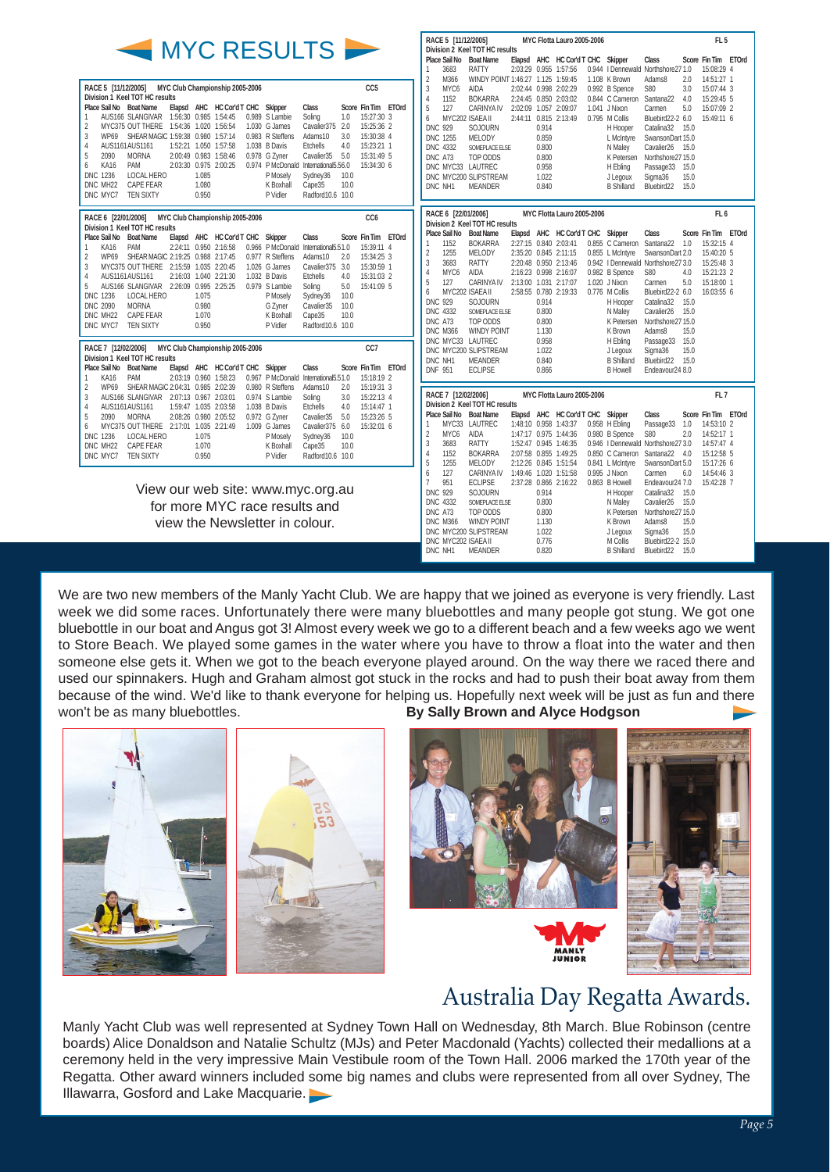| $\bigtriangleup$ MYC RESULTS $\bigtriangledown$                                                                                                                                                                                                                                                                                                                                                                                                                                                                                                                                                                                                                                                                                                                                                                                                                                                                                                                                                                                                                                                                                                                                                                                                                                                                       | RACE 5 [11/12/2005]<br>MYC Flotta Lauro 2005-2006<br>Division 2 Keel TOT HC results<br>Place Sail No<br><b>Boat Name</b><br>Elapsd AHC HC Cord T CHC<br>Skipper<br>Class<br>3683<br><b>RATTY</b><br>2:03:29<br>0.955 1:57:56<br>0.944   Dennewald Northshore27 1.0                                                                                                                                                                                                                                                                                                                                                                                                                                                                                                                                                                                                                                                                                                                                                                                                                                                                                                                                                                                                                             | FL <sub>5</sub><br>Score Fin Tim ETOrd<br>15:08:29 4                                                    |
|-----------------------------------------------------------------------------------------------------------------------------------------------------------------------------------------------------------------------------------------------------------------------------------------------------------------------------------------------------------------------------------------------------------------------------------------------------------------------------------------------------------------------------------------------------------------------------------------------------------------------------------------------------------------------------------------------------------------------------------------------------------------------------------------------------------------------------------------------------------------------------------------------------------------------------------------------------------------------------------------------------------------------------------------------------------------------------------------------------------------------------------------------------------------------------------------------------------------------------------------------------------------------------------------------------------------------|------------------------------------------------------------------------------------------------------------------------------------------------------------------------------------------------------------------------------------------------------------------------------------------------------------------------------------------------------------------------------------------------------------------------------------------------------------------------------------------------------------------------------------------------------------------------------------------------------------------------------------------------------------------------------------------------------------------------------------------------------------------------------------------------------------------------------------------------------------------------------------------------------------------------------------------------------------------------------------------------------------------------------------------------------------------------------------------------------------------------------------------------------------------------------------------------------------------------------------------------------------------------------------------------|---------------------------------------------------------------------------------------------------------|
| MYC Club Championship 2005-2006<br>CC <sub>5</sub><br>RACE 5 [11/12/2005]<br>Division 1 Keel TOT HC results<br>Place Sail No Boat Name<br>Elapsd AHC HC Cor'd T CHC<br>Skipper<br>Class<br>Score Fin Tim ETOrd<br>0.989 S Lambie<br>AUS166 SLANGIVAR<br>1:56:30 0.985 1:54:45<br>Soling<br>1.0<br>15:27:30 3<br>$\overline{2}$<br>MYC375 OUT THERE<br>1:54:36 1.020 1:56:54<br>1.030 G James<br>Cavalier375 2.0<br>15:25:36 2<br>SHEAR MAGIC 1:59:38 0.980 1:57:14<br>0.983 R Steffens<br>15:30:38 4<br>3<br>WP69<br>Adams10<br>3.0<br>AUS1161AUS1161<br>1.038 B Davis<br>15:23:21 1<br>1:52:21 1.050 1:57:58<br>Etchells<br>4.0<br>4<br>5<br><b>MORNA</b><br>2090<br>2:00:49 0.983 1:58:46<br>0.978 G Zyner<br>Cavalier35<br>5.0<br>15:31:49 5<br>6<br><b>KA16</b><br>PAM<br>2:03:30 0.975 2:00:25<br>0.974 P McDonald<br>International5.56.0<br>15:34:30 6<br><b>DNC 1236</b><br>LOCAL HERO<br>1.085<br>P Mosely<br>Sydney36<br>10.0<br>DNC MH <sub>22</sub><br><b>CAPE FEAR</b><br>1.080<br>K Boxhall<br>10.0<br>Cape35<br>DNC MYC7<br><b>TEN SIXTY</b><br>0.950<br>P Vidler<br>Radford10.6 10.0                                                                                                                                                                                                                   | $\overline{2}$<br>M366<br>WINDY POINT 1:46:27 1.125 1:59:45<br>1.108 K Brown<br>Adams8<br>2.0<br>3<br>MYC6<br><b>AIDA</b><br>2:02:44 0.998 2:02:29<br>0.992 B Spence<br>S80<br>3.0<br>1152<br><b>BOKARRA</b><br>2:24:45 0.850 2:03:02<br>0.844 C Cameron<br>$\overline{4}$<br>Santana22<br>4.0<br>5<br>127<br><b>CARINYA IV</b><br>2:02:09<br>1.057 2:09:07<br>J Nixon<br>5.0<br>1.041<br>Carmen<br>6<br>MYC202 ISAEA II<br>2:44:11 0.815 2:13:49<br>0.795 M Collis<br>Bluebird22-2 6.0<br><b>DNC 929</b><br>SOJOURN<br>Catalina32<br>0.914<br>H Hooper<br>15.0<br><b>DNC 1255</b><br>MELODY<br>0.859<br>L McIntyre<br>SwansonDart 15.0<br><b>DNC 4332</b><br>0.800<br>SOMEPLACE ELSE<br>N Maley<br>Cavalier26<br>15.0<br>DNC A73<br>TOP ODDS<br>0.800<br>K Petersen<br>Northshore27 15.0<br>DNC MYC33 LAUTREC<br>0.958<br>H Ebling<br>Passage33<br>15.0<br>DNC MYC200 SLIPSTREAM<br>1.022<br>Sigma36<br>15.0<br>J Legoux<br>DNC NH1<br><b>MEANDER</b><br>0.840<br><b>B</b> Shilland<br>Bluebird22<br>15.0                                                                                                                                                                                                                                                                                     | 14:51:27 1<br>15:07:44 3<br>15:29:45 5<br>15:07:09 2<br>15:49:11 6                                      |
| CC <sub>6</sub><br>RACE 6 [22/01/2006]<br>MYC Club Championship 2005-2006                                                                                                                                                                                                                                                                                                                                                                                                                                                                                                                                                                                                                                                                                                                                                                                                                                                                                                                                                                                                                                                                                                                                                                                                                                             | RACE 6 [22/01/2006]<br>MYC Flotta Lauro 2005-2006<br>Division 2 Keel TOT HC results                                                                                                                                                                                                                                                                                                                                                                                                                                                                                                                                                                                                                                                                                                                                                                                                                                                                                                                                                                                                                                                                                                                                                                                                            | FL <sub>6</sub>                                                                                         |
| Division 1 Keel TOT HC results<br>Class<br>Score Fin Tim ETOrd<br>Place Sail No<br><b>Boat Name</b><br>AHC HC Cord T CHC<br>Skipper<br>Elapsd<br>KA16<br>PAM<br>2:24:11 0.950 2:16:58<br>0.966 P McDonald International5.51.0<br>15:39:11 4<br>WP69<br>SHEAR MAGIC 2:19:25 0.988 2:17:45<br>0.977 R Steffens<br>15:34:25 3<br>$\overline{2}$<br>2.0<br>Adams10<br>MYC375 OUT THERE 2:15:59<br>3<br>1.035 2:20:45<br>1.026 G James<br>Cavalier375<br>3.0<br>15:30:59 1<br>$\overline{4}$<br>AUS1161AUS1161<br>2:16:03 1.040 2:21:30<br>1.032 B Davis<br>Etchells<br>4.0<br>15:31:03 2<br>5<br>AUS166 SLANGIVAR<br>2:26:09 0.995 2:25:25<br>0.979 S Lambie<br>Soling<br>5.0<br>15:41:09 5<br><b>DNC 1236</b><br>LOCAL HERO<br>1.075<br>P Mosely<br>Sydney36<br>10.0<br><b>DNC 2090</b><br><b>MORNA</b><br>0.980<br>G Zyner<br>Cavalier35<br>10.0<br>DNC MH <sub>22</sub><br>CAPE FEAR<br>1.070<br>K Boxhall<br>10.0<br>Cape35<br><b>TEN SIXTY</b><br>DNC MYC7<br>0.950<br>P Vidler<br>Radford10.6 10.0<br>CC7<br>MYC Club Championship 2005-2006<br>RACE 7 [12/02/2006]<br>Division 1 Keel TOT HC results<br>Place Sail No<br>Score Fin Tim ETOrd<br><b>Boat Name</b><br>Elapsd AHC HC Cor'd T CHC<br>Skipper<br>Class<br>KA16<br>PAM<br>0.967 P McDonald<br>2:03:19 0.960 1:58:23<br>International5.51.0<br>15:18:19 2 | Place Sail No<br><b>Boat Name</b><br>Elapsd AHC HC Cord T CHC Skipper<br>Class<br>1152<br><b>BOKARRA</b><br>2:27:15 0.840 2:03:41<br>0.855 C Cameron<br>Santana22<br>1.0<br>$\overline{2}$<br>1255<br>MELODY<br>2:35:20 0.845 2:11:15<br>0.855 L McIntyre<br>SwansonDart 2.0<br>3<br>3683<br><b>RATTY</b><br>0.950 2:13:46<br>0.942   Dennewald Northshore27 3.0<br>2:20:48<br>MYC6<br>$\overline{4}$<br>AIDA<br>2:16:23 0.998 2:16:07<br>0.982 B Spence<br>S80<br>4.0<br>5<br><b>CARINYA IV</b><br>127<br>2:13:00 1.031 2:17:07<br>1.020 J Nixon<br>5.0<br>Carmen<br>MYC202 ISAEA II<br>ĥ<br>2:58:55 0.780 2:19:33<br>0.776 M Collis<br>Bluebird22-2 6.0<br>SOJOURN<br>0.914<br>DNC 929<br>H Hooper<br>Catalina32<br>15.0<br><b>DNC 4332</b><br>0.800<br>SOMEPLACE ELSE<br>N Maley<br>Cavalier <sub>26</sub><br>15.0<br>DNC A73<br><b>TOP ODDS</b><br>0.800<br>Northshore27 15.0<br>K Petersen<br><b>WINDY POINT</b><br><b>DNC M366</b><br>1.130<br>K Brown<br>Adams8<br>15.0<br>DNC MYC33 LAUTREC<br>0.958<br>H Ebling<br>15.0<br>Passage33<br>DNC MYC200 SLIPSTREAM<br>1.022<br>Sigma36<br>15.0<br>J Legoux<br>DNC NH <sub>1</sub><br><b>MEANDER</b><br>0.840<br><b>B</b> Shilland<br>Bluebird22<br>15.0<br><b>ECLIPSE</b><br><b>DNF 951</b><br>0.866<br><b>B</b> Howell<br>Endeavour24 8.0 | Score Fin Tim ETOrd<br>15:32:15 4<br>15:40:20 5<br>15:25:48 3<br>15:21:23 2<br>15:18:00 1<br>16:03:55 6 |
| SHEAR MAGIC 2:04:31 0.985 2:02:39<br>$\overline{2}$<br><b>WP69</b><br>0.980 R Steffens<br>Adams10<br>2.0<br>15:19:31 3                                                                                                                                                                                                                                                                                                                                                                                                                                                                                                                                                                                                                                                                                                                                                                                                                                                                                                                                                                                                                                                                                                                                                                                                | RACE 7 [12/02/2006]<br>MYC Flotta Lauro 2005-2006                                                                                                                                                                                                                                                                                                                                                                                                                                                                                                                                                                                                                                                                                                                                                                                                                                                                                                                                                                                                                                                                                                                                                                                                                                              | FL <sub>7</sub>                                                                                         |
| 3<br>AUS166 SLANGIVAR<br>2:07:13 0.967 2:03:01<br>0.974 S Lambie<br>Soling<br>3.0<br>15:22:13 4<br>$\overline{4}$<br>AUS1161AUS1161<br>1:59:47 1.035 2:03:58<br>1.038 B Davis<br>Etchells<br>4.0<br>15:14:47 1<br>5<br><b>MORNA</b><br>2:08:26 0.980 2:05:52<br>0.972 G Zyner<br>15:23:26 5<br>2090<br>Cavalier35<br>5.0<br>6<br>MYC375 OUT THERE 2:17:01 1.035 2:21:49<br>1.009 G James<br>Cavalier375<br>6.0<br>15:32:01 6<br><b>DNC 1236</b><br>LOCAL HERO<br>1.075<br>P Mosely<br>Sydney36<br>10.0<br>DNC MH <sub>22</sub><br>CAPE FEAR<br>1.070<br>K Boxhall<br>Cape35<br>10.0<br>DNC MYC7<br><b>TEN SIXTY</b><br>0.950<br>P Vidler<br>Radford10.6 10.0                                                                                                                                                                                                                                                                                                                                                                                                                                                                                                                                                                                                                                                          | Division 2 Keel TOT HC results<br>Place Sail No<br><b>Boat Name</b><br>Elapsd AHC HC Cord T CHC<br>Skipper<br>Class<br>MYC33 LAUTREC<br>0.958 H Ebling<br>1:48:10 0.958 1:43:37<br>Passage33<br>1.0<br>MYC6<br>AIDA<br>1:47:17 0.975 1:44:36<br>0.980 B Spence<br>S80<br>$\overline{2}$<br>2.0<br>3<br>3683<br><b>RATTY</b><br>1:52:47 0.945 1:46:35<br>0.946   Dennewald Northshore27 3.0<br>$\overline{4}$<br>1152<br><b>BOKARRA</b><br>2:07:58<br>0.855 1:49:25<br>0.850 C Cameron<br>Santana22<br>-4.0<br>5<br>1255<br>MELODY<br>2:12:26 0.845 1:51:54<br>0.841 L McIntyre<br>SwansonDart 5.0                                                                                                                                                                                                                                                                                                                                                                                                                                                                                                                                                                                                                                                                                              | Score Fin Tim ETOrd<br>14:53:10 2<br>14:52:17 1<br>14:57:47 4<br>15:12:58 5<br>15:17:26 6               |
| View our web site: www.myc.org.au<br>for more MYC race results and<br>view the Newsletter in colour.                                                                                                                                                                                                                                                                                                                                                                                                                                                                                                                                                                                                                                                                                                                                                                                                                                                                                                                                                                                                                                                                                                                                                                                                                  | 6<br>127<br><b>CARINYA IV</b><br>1:49:46 1.020 1:51:58<br>0.995 J Nixon<br>Carmen<br>6.0<br>$\overline{7}$<br>951<br><b>ECLIPSE</b><br>2:37:28 0.866 2:16:22<br>0.863 B Howell<br>Endeavour24 7.0<br><b>DNC 929</b><br>SOJOURN<br>0.914<br>H Hooper<br>Catalina32<br>15.0<br><b>DNC 4332</b><br>0.800<br>N Maley<br>15.0<br>SOMEPLACE ELSE<br>Cavalier26<br>DNC A73<br><b>TOP ODDS</b><br>0.800<br>Northshore27 15.0<br>K Petersen<br><b>DNC M366</b><br><b>WINDY POINT</b><br>1.130<br>K Brown<br>Adams8<br>15.0<br>DNC MYC200 SLIPSTREAM<br>15.0<br>1.022<br>J Legoux<br>Sigma36<br>DNC MYC202 ISAFA II<br>M Collis<br>Bluebird22-2 15.0<br>0.776                                                                                                                                                                                                                                                                                                                                                                                                                                                                                                                                                                                                                                            | 14:54:46 3<br>15:42:28 7                                                                                |

We are two new members of the Manly Yacht Club. We are happy that we joined as everyone is very friendly. Last week we did some races. Unfortunately there were many bluebottles and many people got stung. We got one bluebottle in our boat and Angus got 3! Almost every week we go to a different beach and a few weeks ago we went to Store Beach. We played some games in the water where you have to throw a float into the water and then someone else gets it. When we got to the beach everyone played around. On the way there we raced there and used our spinnakers. Hugh and Graham almost got stuck in the rocks and had to push their boat away from them because of the wind. We'd like to thank everyone for helping us. Hopefully next week will be just as fun and there won't be as many bluebottles. **By Sally Brown and Alyce Hodgson**





DNC MYC202 ISAEA II 0.776 M Collis Bluebird22-2 15.0 DNC NH1 MEANDER 0.820 B Shilland Bluebird22 15.0



# Australia Day Regatta Awards.

Manly Yacht Club was well represented at Sydney Town Hall on Wednesday, 8th March. Blue Robinson (centre boards) Alice Donaldson and Natalie Schultz (MJs) and Peter Macdonald (Yachts) collected their medallions at a ceremony held in the very impressive Main Vestibule room of the Town Hall. 2006 marked the 170th year of the Regatta. Other award winners included some big names and clubs were represented from all over Sydney, The Illawarra, Gosford and Lake Macquarie.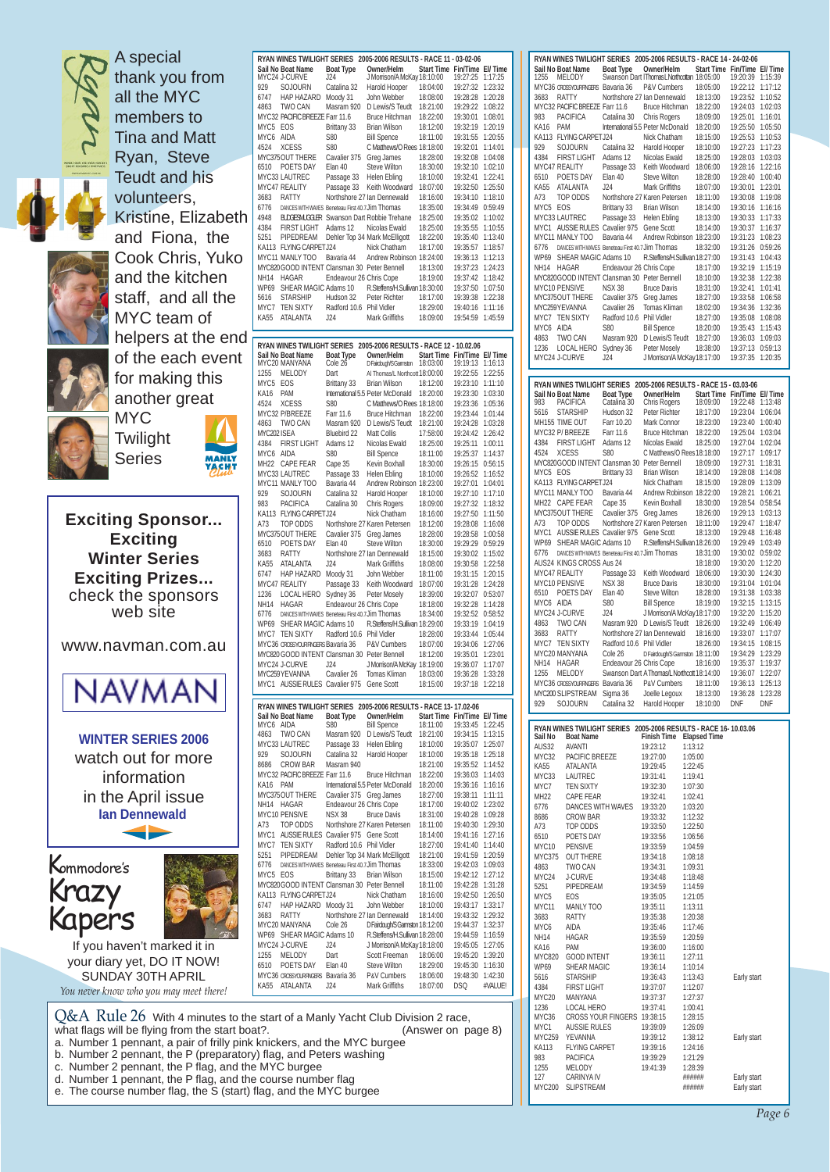

A special thank you from all the MYC members to Tina and Matt Ryan, Steve Teudt and his volunteers, Kristine, Elizabeth and Fiona, the Cook Chris, Yuko and the kitchen staff, and all the MYC team of helpers at the end of the each event for making this another great **MYC Twilight** 

**Exciting Sponsor... Exciting Winter Series Exciting Prizes...** check the sponsors web site

Series

www.navman.com.au



**WINTER SERIES 2006** watch out for more information in the April issue **Ian Dennewald** 4

Kommodore's Krazy Kapers

If you haven't marked it in your diary yet, DO IT NOW! SUNDAY 30TH APRIL *You never know who you may meet there!*

|   |             |                                                  |                         | RYAN WINES TWILIGHT SERIES 2005-2006 RESULTS - RACE 11 - 03-02-06 |                                    |          |         |
|---|-------------|--------------------------------------------------|-------------------------|-------------------------------------------------------------------|------------------------------------|----------|---------|
|   |             | Sail No Boat Name<br>MYC24 J-CURVE               | <b>Boat Type</b><br>J24 | Owner/Helm<br>J Morrison/A McKay 18:10:00                         | <b>Start Time Fin/Time El/Time</b> | 19:27:25 | 1:17:25 |
|   | 929         | SOJOURN                                          | Catalina 32             | Harold Hooper                                                     | 18:04:00                           | 19:27:32 | 1:23:32 |
|   | 6747        | HAP HAZARD                                       | Moody 31                | John Webber                                                       | 18:08:00                           | 19:28:28 | 1:20:28 |
|   | 4863        | TWO CAN                                          | Masram 920              | D Lewis/S Teudt                                                   | 18:21:00                           | 19:29:22 | 1:08:22 |
|   |             | MYC32 PACIFIC BREEZE Farr 11.6                   |                         | Bruce Hitchman                                                    | 18:22:00                           | 19:30:01 | 1:08:01 |
|   | MYC5 EOS    |                                                  | Brittany 33             | <b>Brian Wilson</b>                                               | 18:12:00                           | 19:32:19 | 1:20:19 |
|   | MYC6        | AIDA                                             | S80                     | <b>Bill Spence</b>                                                | 18:11:00                           | 19:31:55 | 1:20:55 |
|   | 4524        | <b>XCESS</b>                                     | S80                     | C Matthews/O Rees 18:18:00                                        |                                    | 19:32:01 | 1:14:01 |
|   |             | MYC375OUT THERE                                  | Cavalier 375            | Greg James                                                        | 18:28:00                           | 19:32:08 | 1:04:08 |
|   | 6510        | POETS DAY                                        | Elan 40                 | Steve Wilton                                                      | 18:30:00                           | 19:32:10 | 1:02:10 |
|   |             | MYC33 LAUTREC                                    | Passage 33              | Helen Ebling                                                      | 18:10:00                           | 19:32:41 | 1:22:41 |
|   |             | <b>MYC47 REALITY</b>                             | Passage 33              | Keith Woodward                                                    | 18:07:00                           | 19:32:50 | 1:25:50 |
|   | 3683        | RATTY                                            |                         | Northshore 27 Ian Dennewald                                       | 18:16:00                           | 19:34:10 | 1:18:10 |
|   | 6776        | DANCES WITH WAVES Beneteau First 40.7 Jim Thomas |                         |                                                                   | 18:35:00                           | 19:34:49 | 0:59:49 |
| ገ | 4948        |                                                  |                         | <b>BLOESVLOGLER</b> Swanson Dart Robbie Trehane                   | 18:25:00                           | 19:35:02 | 1:10:02 |
|   | 4384        | <b>FIRST LIGHT</b>                               | Adams 12                | Nicolas Ewald                                                     | 18:25:00                           | 19:35:55 | 1:10:55 |
|   | 5251        | PIPEDREAM                                        |                         | Dehler Top 34 Mark McElligott                                     | 18:22:00                           | 19:35:40 | 1:13:40 |
|   | KA113       | FLYING CARPETJ24                                 |                         | Nick Chatham                                                      | 18:17:00                           | 19:35:57 | 1:18:57 |
|   |             | MYC11 MANLY TOO                                  | Bavaria 44              | Andrew Robinson                                                   | 18:24:00                           | 19:36:13 | 1:12:13 |
|   |             | MYC820GOOD INTENT Clansman 30 Peter Bennell      |                         |                                                                   | 18:13:00                           | 19:37:23 | 1:24:23 |
|   | <b>NH14</b> | <b>HAGAR</b>                                     | Endeavour 26 Chris Cope |                                                                   | 18:19:00                           | 19:37:42 | 1:18:42 |
|   | <b>WP69</b> | SHEAR MAGIC Adams 10                             |                         | R.Steffens/H.Sullivan 18:30:00                                    |                                    | 19:37:50 | 1:07:50 |
|   | 5616        | <b>STARSHIP</b>                                  | Hudson 32               | Peter Richter                                                     | 18:17:00                           | 19:39:38 | 1:22:38 |
|   | MYC7        | <b>TEN SIXTY</b>                                 | Radford 10.6            | Phil Vidler                                                       | 18:29:00                           | 19:40:16 | 1:11:16 |
|   | KA55        | <b>ATALANTA</b>                                  | J24                     | Mark Griffiths                                                    | 18:09:00                           | 19:54:59 | 1:45:59 |

|                  |                                                  |                             | RYAN WINES TWILIGHT SERIES 2005-2006 RESULTS - RACE 12 - 10.02.06 |                                                |          |         |
|------------------|--------------------------------------------------|-----------------------------|-------------------------------------------------------------------|------------------------------------------------|----------|---------|
|                  | Sail No Boat Name<br>MYC20 MANYANA               | <b>Boat Type</b><br>Cole 26 | Owner/Helm<br>D Fairdough S Garmston                              | <b>Start Time Fin/Time El/Time</b><br>18:03:00 | 19:19:13 | 1:16:13 |
| 1255             | MELODY                                           | Dart                        | Al Thomas/L Northcott 18:00:00                                    |                                                | 19:22:55 | 1:22:55 |
| MYC5             | EOS                                              | Brittany 33                 | <b>Brian Wilson</b>                                               | 18:12:00                                       | 19:23:10 | 1:11:10 |
| KA16             | <b>PAM</b>                                       |                             | International 5.5 Peter McDonald                                  | 18:20:00                                       | 19:23:30 | 1:03:30 |
| 4524             | <b>XCESS</b>                                     | S80                         | C Matthews/O Rees 18:18:00                                        |                                                | 19:23:36 | 1:05:36 |
|                  | MYC32 P/BREEZE                                   | Farr 11.6                   | <b>Bruce Hitchman</b>                                             | 18:22:00                                       | 19:23:44 | 1:01:44 |
| 4863             | TWO CAN                                          | Masram 920                  | D Lewis/S Teudt                                                   | 18:21:00                                       | 19:24:28 | 1:03:28 |
| MYC202 ISEA      |                                                  | Bluebird 22                 | Matt Collis                                                       | 17:58:00                                       | 19:24:42 | 1:26:42 |
| 4384             | <b>FIRST LIGHT</b>                               | Adams 12                    | Nicolas Ewald                                                     | 18:25:00                                       | 19:25:11 | 1:00:11 |
| MYC6             | AIDA                                             | S80                         | <b>Bill Spence</b>                                                | 18:11:00                                       | 19:25:37 | 1:14:37 |
| MH <sub>22</sub> | <b>CAPE FEAR</b>                                 | Cape 35                     | Kevin Boxhall                                                     | 18:30:00                                       | 19:26:15 | 0:56:15 |
|                  | MYC33 LAUTREC                                    | Passage 33                  | Helen Ebling                                                      | 18:10:00                                       | 19:26:52 | 1:16:52 |
|                  | MYC11 MANLY TOO                                  | Bavaria 44                  | Andrew Robinson 18:23:00                                          |                                                | 19:27:01 | 1:04:01 |
| 929              | SOJOURN                                          | Catalina 32                 | Harold Hooper                                                     | 18:10:00                                       | 19:27:10 | 1:17:10 |
| 983              | <b>PACIFICA</b>                                  | Catalina 30                 | <b>Chris Rogers</b>                                               | 18:09:00                                       | 19:27:32 | 1:18:32 |
| KA113            | <b>FLYING CARPETJ24</b>                          |                             | Nick Chatham                                                      | 18:16:00                                       | 19:27:50 | 1:11:50 |
| A73              | TOP ODDS                                         |                             | Northshore 27 Karen Petersen                                      | 18:12:00                                       | 19:28:08 | 1:16:08 |
|                  | MYC375OUT THERE                                  | Cavalier 375                | Greg James                                                        | 18:28:00                                       | 19:28:58 | 1:00:58 |
| 6510             | POETS DAY                                        | Elan 40                     | Steve Wilton                                                      | 18:30:00                                       | 19:29:29 | 0:59:29 |
| 3683             | <b>RATTY</b>                                     |                             | Northshore 27 Ian Dennewald                                       | 18:15:00                                       | 19:30:02 | 1:15:02 |
| <b>KA55</b>      | <b>ATALANTA</b>                                  | J24                         | Mark Griffiths                                                    | 18:08:00                                       | 19:30:58 | 1:22:58 |
| 6747             | <b>HAP HAZARD</b>                                | Moody 31                    | John Webber                                                       | 18:11:00                                       | 19:31:15 | 1:20:15 |
|                  | <b>MYC47 REALITY</b>                             | Passage 33                  | Keith Woodward                                                    | 18:07:00                                       | 19:31:28 | 1:24:28 |
| 1236             | LOCAL HERO                                       | Sydney 36                   | Peter Mosely                                                      | 18:39:00                                       | 19:32:07 | 0:53:07 |
| <b>NH14</b>      | <b>HAGAR</b>                                     | Endeavour 26 Chris Cope     |                                                                   | 18:18:00                                       | 19:32:28 | 1:14:28 |
| 6776             | DANCES WITH WAVES Beneteau First 40.7 Jim Thomas |                             |                                                                   | 18:34:00                                       | 19:32:52 | 0:58:52 |
| <b>WP69</b>      | SHEAR MAGIC Adams 10                             |                             | R.Steffens/H.Sullivan 18:29:00                                    |                                                | 19:33:19 | 1:04:19 |
|                  | MYC7 TEN SIXTY                                   | Radford 10.6                | Phil Vidler                                                       | 18:28:00                                       | 19:33:44 | 1:05:44 |
|                  | MYC36 CROSSYOLRENGERS Bavaria 36                 |                             | P&V Cumbers                                                       | 18:07:00                                       | 19:34:06 | 1:27:06 |
|                  | MYC820 GOOD INTENT Clansman 30 Peter Bennell     |                             |                                                                   | 18:12:00                                       | 19:35:01 | 1:23:01 |
|                  | MYC24 J-CURVE                                    | J24                         | J Morrison/A McKay 18:19:00                                       |                                                | 19:36:07 | 1:17:07 |
|                  | MYC259YEVANNA                                    | Cavalier 26                 | Tomas Kliman                                                      | 18:03:00                                       | 19:36:28 | 1:33:28 |
| MYC1             | AUSSIE RULES Cavalier 975                        |                             | Gene Scott                                                        | 18:15:00                                       | 19:37:18 | 1:22:18 |
|                  |                                                  |                             |                                                                   |                                                |          |         |
|                  |                                                  |                             | RYAN WINES TWILIGHT SERIES 2005-2006 RESULTS - RACE 13-17.02-06   |                                                |          |         |
| MYC6             | Sail No Boat Name<br>AIDA                        | <b>Boat Type</b><br>S80     | Owner/Helm<br><b>Bill Spence</b>                                  | Start Time Fin/Time El/Time<br>18:11:00        | 19:33:45 | 1:22:45 |
| 4863             | <b>TWO CAN</b>                                   | Masram 920                  | D Lewis/S Teudt                                                   | 18:21:00                                       | 19:34:15 | 1:13:15 |
|                  | MYC33 LAUTREC                                    | Passage 33                  | Helen Ebling                                                      | 18:10:00                                       | 19:35:07 | 1:25:07 |
| 929              | <b>SOJOURN</b>                                   | Catalina 32                 | Harold Hooper                                                     | 18:10:00                                       | 19:35:18 | 1:25:18 |
| 8686             | <b>CROW BAR</b>                                  | Masram 940                  |                                                                   | 18:21:00                                       | 19:35:52 | 1:14:52 |
|                  |                                                  |                             | Bruce Hitchman                                                    | 18:22:00                                       | 19:36:03 | 1:14:03 |
| <b>KA16</b>      | PAM                                              |                             | International 5.5 Peter McDonald                                  | 18:20:00                                       |          |         |
|                  |                                                  |                             | MYC32 PACIFIC BREEZE Farr 11.6                                    |                                                |          |         |

|          | ש בתורו שהם שטט דוזו                             | <b>I GOODY OU INTO LEUITH</b> |                                             | 19.19.00 | 19.99.91         | 1.69.01 |
|----------|--------------------------------------------------|-------------------------------|---------------------------------------------|----------|------------------|---------|
| 929      | SOJOURN                                          |                               | Catalina 32 Harold Hooper                   | 18:10:00 | 19:35:18 1:25:18 |         |
| 8686     | <b>CROW BAR</b>                                  | Masram 940                    |                                             | 18:21:00 | 19:35:52 1:14:52 |         |
|          | MYC32 PACIFIC BREEZE Farr 11.6                   |                               | Bruce Hitchman                              | 18:22:00 | 19:36:03 1:14:03 |         |
| KA16     | PAM                                              |                               | International 5.5 Peter McDonald            | 18:20:00 | 19:36:16         | 1:16:16 |
|          | MYC375OUT THERE                                  | Cavalier 375 Greg James       |                                             | 18:27:00 | 19:38:11         | 1:11:11 |
|          | NH14 HAGAR                                       | Endeavour 26 Chris Cope       |                                             | 18:17:00 | 19:40:02         | 1:23:02 |
|          | MYC10 PENSIVE                                    | <b>NSX 38</b>                 | Bruce Davis                                 | 18:31:00 | 19:40:28         | 1:09:28 |
| A73      | TOP ODDS                                         |                               | Northshore 27 Karen Petersen                | 18:11:00 | 19:40:30         | 1:29:30 |
|          | MYC1 AUSSIE RULES Cavalier 975 Gene Scott        |                               |                                             | 18:14:00 | 19:41:16 1:27:16 |         |
|          | MYC7 TEN SIXTY                                   | Radford 10.6 Phil Vidler      |                                             | 18:27:00 | 19:41:40         | 1:14:40 |
| 5251     | PIPEDREAM                                        |                               | Dehler Top 34 Mark McElligott               | 18:21:00 | 19:41:59         | 1:20:59 |
| 6776     | DANCES WITH WAVES Beneteau First 40.7 Jim Thomas |                               |                                             | 18:33:00 | 19:42:03         | 1:09:03 |
| MYC5 EOS |                                                  | Brittany 33                   | Brian Wilson                                | 18:15:00 | 19:42:12         | 1:27:12 |
|          |                                                  |                               | MYC820GOOD INTENT Clansman 30 Peter Bennell | 18:11:00 | 19:42:28 1:31:28 |         |
|          | KA113 FLYING CARPETJ24                           |                               | Nick Chatham                                | 18:16:00 | 19:42:50         | 1:26:50 |
| 6747     |                                                  |                               | HAP HAZARD Moody 31 John Webber             | 18:10:00 | 19:43:17         | 1:33:17 |
| 3683     | RATTY                                            |                               | Northshore 27 Ian Dennewald                 | 18:14:00 | 19:43:32         | 1:29:32 |
|          | MYC20 MANYANA                                    | Cole 26                       | DFairdough/SGarmston 18:12:00               |          | 19:44:37         | 1:32:37 |
|          | WP69 SHEAR MAGIC Adams 10                        |                               | R.Steffens/H.Sullivan 18:28:00              |          | 19:44:59         | 1:16:59 |
|          | MYC24 J-CURVE                                    | J24                           | J Morrison/A McKay 18:18:00                 |          | 19:45:05         | 1:27:05 |
| 1255     | <b>MELODY</b>                                    | Dart                          | Scott Freeman                               | 18:06:00 | 19:45:20         | 1:39:20 |
| 6510     | POETS DAY                                        | Elan 40                       | Steve Wilton                                | 18:29:00 | 19:45:30         | 1:16:30 |
|          | MYC36 CROSSYOURFNGERS Bavaria 36                 |                               | P&V Cumbers                                 | 18:06:00 | 19:48:30         | 1:42:30 |
| KA55     | <b>ATALANTA</b>                                  | J24                           | Mark Griffiths                              | 18:07:00 | DSQ              | #VALUE! |

Q&A Rule 26 With 4 minutes to the start of a Manly Yacht Club Division 2 race, what flags will be flying from the start boat?.

a. Number 1 pennant, a pair of frilly pink knickers, and the MYC burgee

b. Number 2 pennant, the P (preparatory) flag, and Peters washing

c. Number 2 pennant, the P flag, and the MYC burgee

d. Number 1 pennant, the P flag, and the course number flag

e. The course number flag, the S (start) flag, and the MYC burgee

|             |                                                  |                         | RYAN WINES TWILIGHT SERIES 2005-2006 RESULTS - RACE 14 - 24-02-06 |                             |                      |         |
|-------------|--------------------------------------------------|-------------------------|-------------------------------------------------------------------|-----------------------------|----------------------|---------|
|             | Sail No Boat Name                                | <b>Boat Type</b>        | Owner/Helm                                                        | <b>Start Time</b>           | Fin/Time El/Time     |         |
| 1255        | MELODY                                           |                         | Swanson Dart IThomas LNorthcottan 18:05:00                        |                             | 19:20:39             | 1:15:39 |
|             | MYC36 CROSSYOURFINGERS Bavaria 36                |                         | P&V Cumbers                                                       | 18:05:00                    | 19:22:12             | 1:17:12 |
| 3683        | <b>RATTY</b>                                     |                         | Northshore 27 Ian Dennewald                                       | 18:13:00                    | 19:23:52             | 1:10:52 |
|             | MYC32 PACIFIC BREEZE Farr 11.6                   |                         | Bruce Hitchman                                                    | 18:22:00                    | 19:24:03             | 1:02:03 |
| 983         | <b>PACIFICA</b>                                  | Catalina 30             | <b>Chris Rogers</b>                                               | 18:09:00                    | 19:25:01             | 1:16:01 |
| <b>KA16</b> | PAM                                              |                         | International 5.5 Peter McDonald                                  | 18:20:00                    | 19:25:50             | 1:05:50 |
|             | KA113 FLYING CARPETJ24                           |                         | Nick Chatham                                                      | 18:15:00                    | 19:25:53             | 1:10:53 |
| 929         | SOJOURN                                          | Catalina 32             | Harold Hooper                                                     | 18:10:00                    | 19:27:23             | 1:17:23 |
| 4384        | <b>FIRST LIGHT</b>                               | Adams 12                | Nicolas Ewald                                                     | 18:25:00                    | 19:28:03             | 1:03:03 |
|             | MYC47 REALITY                                    | Passage 33              | Keith Woodward                                                    | 18:06:00                    | 19:28:16             | 1:22:16 |
| 6510        | POETS DAY                                        | Elan 40                 | Steve Wilton                                                      | 18:28:00                    | 19:28:40             | 1:00:40 |
| <b>KA55</b> | <b>ATALANTA</b>                                  | J24                     | Mark Griffiths                                                    | 18:07:00                    | 19:30:01             | 1:23:01 |
| A73         | TOP ODDS                                         |                         | Northshore 27 Karen Petersen                                      | 18:11:00                    | 19:30:08             | 1:19:08 |
| MYC5        | EOS                                              | Brittany 33             | <b>Brian Wilson</b>                                               | 18:14:00                    | 19:30:16             | 1:16:16 |
|             | MYC33 LAUTREC                                    | Passage 33              | Helen Ebling                                                      | 18:13:00                    | 19:30:33             | 1:17:33 |
| MYC1        | AUSSIE RULES                                     | Cavalier 975            | Gene Scott                                                        | 18:14:00                    | 19:30:37             | 1:16:37 |
|             | MYC11 MANLY TOO                                  | Bavaria 44              | Andrew Robinson                                                   | 18:23:00                    | 19:31:23             | 1:08:23 |
| 6776        | DANCES WITH WAVES Beneteau First 40.7 Jim Thomas |                         |                                                                   | 18:32:00                    | 19:31:26             | 0:59:26 |
| WP69        | SHEAR MAGIC Adams 10                             |                         | R.Steffens/H.Sullivan 18:27:00                                    |                             | 19:31:43             | 1:04:43 |
| <b>NH14</b> | <b>HAGAR</b>                                     | Endeavour 26 Chris Cope |                                                                   | 18:17:00                    | 19:32:19             | 1:15:19 |
|             | MYC820GOOD INTENT Clansman 30 Peter Bennell      |                         |                                                                   | 18:10:00                    | 19:32:38             | 1:22:38 |
|             | MYC10 PENSIVE                                    | <b>NSX 38</b>           | <b>Bruce Davis</b>                                                | 18:31:00                    | 19:32:41             | 1:01:41 |
|             | MYC375OUT THERE                                  | Cavalier 375            | Greg James                                                        | 18:27:00                    | 19:33:58             | 1:06:58 |
|             | MYC259YEVANNA                                    | Cavalier 26             | Tomas Kliman                                                      | 18:02:00                    | 19:34:36             | 1:32:36 |
|             | MYC7 TEN SIXTY                                   | Radford 10.6            | Phil Vidler                                                       | 18:27:00                    | 19:35:08             | 1:08:08 |
| MYC6        | AIDA                                             | S80                     | <b>Bill Spence</b>                                                | 18:20:00                    | 19:35:43             | 1:15:43 |
| 4863        | <b>TWO CAN</b>                                   | Masram 920              | D Lewis/S Teudt                                                   | 18:27:00                    | 19:36:03             | 1:09:03 |
| 1236        | LOCAL HERO                                       | Sydney 36               | Peter Moselv                                                      | 18:38:00                    | 19:37:13             | 0:59:13 |
|             | MYC24 J-CURVE                                    | J24                     | J Morrison/A McKay18:17:00                                        |                             | 19:37:35             | 1:20:35 |
|             |                                                  |                         |                                                                   |                             |                      |         |
|             |                                                  |                         | RYAN WINES TWILIGHT SERIES 2005-2006 RESULTS - RACE 15 - 03.03-06 |                             |                      |         |
|             | Sail No Boat Name                                | <b>Boat Type</b>        | Owner/Helm                                                        | Start Time Fin/Time El/Time |                      |         |
| 092         | <b>DACIEICA</b>                                  | Cotolina 20             | Chrie Dogore                                                      | 19.00.00                    | $10.22.19$ $1.12.19$ |         |

|             |                                                  |                                 | RYAN WINES I WILIGHT SERIES   ZUU5-ZUU6 RESULTS - RAUE 15 - U3.U3-U6 |                                         |            |            |
|-------------|--------------------------------------------------|---------------------------------|----------------------------------------------------------------------|-----------------------------------------|------------|------------|
| 983         | Sail No Boat Name<br><b>PACIFICA</b>             | <b>Boat Type</b><br>Catalina 30 | Owner/Helm<br>Chris Rogers                                           | Start Time Fin/Time El/Time<br>18:09:00 | 19:22:48   | 1:13:48    |
| 5616        | <b>STARSHIP</b>                                  | Hudson 32                       | Peter Richter                                                        | 18:17:00                                | 19:23:04   | 1:06:04    |
|             | MH155 TIME OUT                                   | Farr 10.20                      | Mark Connor                                                          | 18:23:00                                | 19:23:40   | 1:00:40    |
|             | MYC32 P/BREEZE                                   | Farr 11.6                       | Bruce Hitchman                                                       | 18:22:00                                | 19:25:04   | 1:03:04    |
| 4384        | <b>FIRST LIGHT</b>                               | Adams 12                        | Nicolas Ewald                                                        | 18:25:00                                | 19:27:04   | 1:02:04    |
| 4524        | <b>XCESS</b>                                     | S80                             | C Matthews/O Rees 18:18:00                                           |                                         | 19:27:17   | 1:09:17    |
|             | MYC820GOOD INTENT Clansman 30                    |                                 | Peter Bennell                                                        | 18:09:00                                | 19:27:31   | 1:18:31    |
| MYC5        | EOS                                              | Brittany 33                     | Brian Wilson                                                         | 18:14:00                                | 19:28:08   | 1:14:08    |
|             | KA113 FLYING CARPETJ24                           |                                 | Nick Chatham                                                         | 18:15:00                                | 19:28:09   | 1:13:09    |
|             | MYC11 MANLY TOO                                  | Bavaria 44                      | Andrew Robinson 18:22:00                                             |                                         | 19:28:21   | 1:06:21    |
| MH22        | CAPE FEAR                                        | Cape 35                         | Kevin Boxhall                                                        | 18:30:00                                | 19:28:54   | 0:58:54    |
|             | MYC375OUT THERE                                  | Cavalier 375                    | Greg James                                                           | 18:26:00                                | 19:29:13   | 1:03:13    |
| A73         | TOP ODDS                                         |                                 | Northshore 27 Karen Petersen                                         | 18:11:00                                | 19:29:47   | 1:18:47    |
| MYC1        | AUSSIE RULES Cavalier 975                        |                                 | Gene Scott                                                           | 18:13:00                                | 19:29:48   | 1:16:48    |
| <b>WP69</b> | SHEAR MAGIC Adams 10                             |                                 | R.Steffens/H.Sullivan 18:26:00                                       |                                         | 19:29:49   | 1:03:49    |
| 6776        | DANCES WITH WAVES Beneteau First 40.7 Jim Thomas |                                 |                                                                      | 18:31:00                                | 19:30:02   | 0:59:02    |
|             | AUS24 KINGS CROSS Aus 24                         |                                 |                                                                      | 18:18:00                                | 19:30:20   | 1:12:20    |
|             | <b>MYC47 REALITY</b>                             | Passage 33                      | Keith Woodward                                                       | 18:06:00                                | 19:30:30   | 1:24:30    |
|             | MYC10 PENSIVE                                    | <b>NSX 38</b>                   | <b>Bruce Davis</b>                                                   | 18:30:00                                | 19:31:04   | 1:01:04    |
| 6510        | POETS DAY                                        | Elan 40                         | Steve Wilton                                                         | 18:28:00                                | 19:31:38   | 1:03:38    |
| MYC6        | AIDA                                             | S80                             | <b>Bill Spence</b>                                                   | 18:19:00                                | 19:32:15   | 1:13:15    |
|             | MYC24 J-CURVE                                    | J24                             | J Morrison/A McKay18:17:00                                           |                                         | 19:32:20   | 1:15:20    |
| 4863        | TWO CAN                                          | Masram 920                      | D Lewis/S Teudt                                                      | 18:26:00                                | 19:32:49   | 1:06:49    |
| 3683        | <b>RATTY</b>                                     |                                 | Northshore 27 Ian Dennewald                                          | 18:16:00                                | 19:33:07   | 1:17:07    |
| MYC7        | <b>TEN SIXTY</b>                                 | Radford 10.6 Phil Vidler        |                                                                      | 18:26:00                                | 19:34:15   | 1:08:15    |
|             | MYC20 MANYANA                                    | Cole 26                         | D Fairdough/S Garmston                                               | 18:11:00                                | 19:34:29   | 1:23:29    |
| <b>NH14</b> | <b>HAGAR</b>                                     | Endeavour 26 Chris Cope         |                                                                      | 18:16:00                                | 19:35:37   | 1:19:37    |
| 1255        | MELODY                                           |                                 | Swanson Dart AThomas/LNorthcott 18:14:00                             |                                         | 19:36:07   | 1:22:07    |
|             | MYC36 CROSSYOURFINGERS                           | Bavaria 36                      | P&V Cumbers                                                          | 18:11:00                                | 19:36:13   | 1:25:13    |
|             | MYC200 SLIPSTREAM                                | Sigma 36                        | Joelle Legoux                                                        | 18:13:00                                | 19:36:28   | 1:23:28    |
| 929         | <b>SOJOURN</b>                                   | Catalina 32                     | Harold Hooper                                                        | 18:10:00                                | <b>DNF</b> | <b>DNF</b> |

| Sail No           | RYAN WINES TWILIGHT SERIES 2005-2006 RESULTS - RACE 16-10.03.06<br><b>Boat Name</b> | <b>Finish Time</b> | <b>Elapsed Time</b> |             |
|-------------------|-------------------------------------------------------------------------------------|--------------------|---------------------|-------------|
| AUS32             | <b>AVANTI</b>                                                                       | 19:23:12           | 1:13:12             |             |
| MYC32             | PACIFIC BREEZE                                                                      | 19:27:00           | 1:05:00             |             |
| <b>KA55</b>       | ATALANTA                                                                            | 19:29:45           | 1:22:45             |             |
| MYC33             | LAUTREC                                                                             | 19:31:41           | 1:19:41             |             |
| MYC7              | <b>TEN SIXTY</b>                                                                    | 19:32:30           | 1:07:30             |             |
| MH22              | CAPE FEAR                                                                           | 19:32:41           | 1:02:41             |             |
| 6776              | DANCES WITH WAVES                                                                   | 19:33:20           | 1:03:20             |             |
| 8686              | <b>CROW BAR</b>                                                                     | 19:33:32           | 1:12:32             |             |
| A73               | TOP ODDS                                                                            | 19:33:50           | 1:22:50             |             |
| 6510              | POETS DAY                                                                           | 19:33:56           | 1:06:56             |             |
| MYC <sub>10</sub> | <b>PENSIVE</b>                                                                      | 19:33:59           | 1:04:59             |             |
| MYC375            | <b>OUT THERE</b>                                                                    | 19:34:18           | 1:08:18             |             |
| 4863              | TWO CAN                                                                             | 19:34:31           | 1:09:31             |             |
| MYC <sub>24</sub> | <b>J-CURVE</b>                                                                      | 19:34:48           | 1:18:48             |             |
| 5251              | PIPEDREAM                                                                           | 19:34:59           | 1:14:59             |             |
| MYC5              | EOS                                                                                 | 19:35:05           | 1:21:05             |             |
| MYC11             | MANLY TOO                                                                           | 19:35:11           | 1:13:11             |             |
| 3683              | <b>RATTY</b>                                                                        | 19:35:38           | 1:20:38             |             |
| MYC6              | AIDA                                                                                | 19:35:46           | 1:17:46             |             |
| <b>NH14</b>       | <b>HAGAR</b>                                                                        | 19:35:59           | 1:20:59             |             |
| <b>KA16</b>       | PAM                                                                                 | 19:36:00           | 1:16:00             |             |
| <b>MYC820</b>     | <b>GOOD INTENT</b>                                                                  | 19:36:11           | 1:27:11             |             |
| <b>WP69</b>       | SHEAR MAGIC                                                                         | 19:36:14           | 1:10:14             |             |
| 5616              | <b>STARSHIP</b>                                                                     | 19:36:43           | 1:13:43             | Early start |
| 4384              | <b>FIRST LIGHT</b>                                                                  | 19:37:07           | 1:12:07             |             |
| MYC20             | MANYANA                                                                             | 19:37:37           | 1:27:37             |             |
| 1236              | LOCAL HERO                                                                          | 19:37:41           | 1:00:41             |             |
| MYC36             | CROSS YOUR FINGERS 19:38:15                                                         |                    | 1:28:15             |             |
| MYC1              | <b>AUSSIE RULES</b>                                                                 | 19:39:09           | 1:26:09             |             |
| MYC259            | YEVANNA                                                                             | 19:39:12           | 1:38:12             | Early start |
| <b>KA113</b>      | <b>FLYING CARPET</b>                                                                | 19:39:16           | 1:24:16             |             |
| 983               | <b>PACIFICA</b>                                                                     | 19:39:29           | 1:21:29             |             |
| 1255              | MELODY                                                                              | 19:41:39           | 1:28:39             |             |
| 127               | <b>CARINYA IV</b>                                                                   |                    | ######              | Early start |
| <b>MYC200</b>     | <b>SLIPSTREAM</b>                                                                   |                    | ######              | Early start |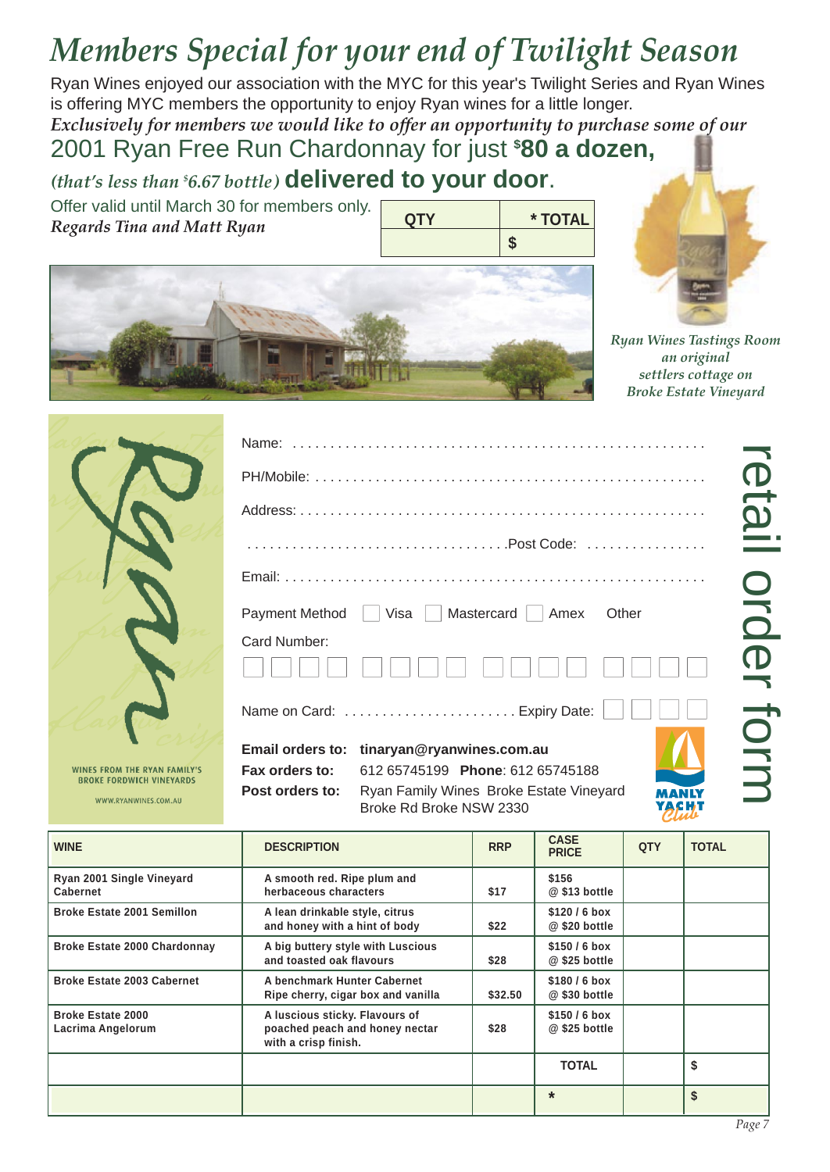# *Members Special for your end of Twilight Season*

Ryan Wines enjoyed our association with the MYC for this year's Twilight Series and Ryan Wines is offering MYC members the opportunity to enjoy Ryan wines for a little longer. *Exclusively for members we would like to offer an opportunity to purchase some of our* 

## 2001 Ryan Free Run Chardonnay for just **\$ 80 a dozen,**

*(that's less than \$6.67 bottle)* **delivered to your door.**<br>Offer valid until March 30 for members only.

*Regards Tina and Matt Ryan*

**QTY \* TOTAL**





*Ryan Wines Tastings Room an original settlers cottage on Broke Estate Vineyard*

| <b>WINE</b><br>Ryan 2001 Single Vineyard                               | <b>DESCRIPTION</b><br>A smooth red. Ripe plum and |                                                                    | <b>RRP</b> | <b>CASE</b><br><b>PRICE</b><br>\$156 | QTY   | <b>TOTAL</b> |                                   |  |
|------------------------------------------------------------------------|---------------------------------------------------|--------------------------------------------------------------------|------------|--------------------------------------|-------|--------------|-----------------------------------|--|
| WWW.RYANWINES.COM.AU                                                   | Post orders to:                                   | Ryan Family Wines Broke Estate Vineyard<br>Broke Rd Broke NSW 2330 |            |                                      | MANLY |              |                                   |  |
| <b>WINES FROM THE RYAN FAMILY'S</b><br><b>BROKE FORDWICH VINEYARDS</b> | Fax orders to:                                    | 612 65745199 Phone: 612 65745188                                   |            |                                      |       |              |                                   |  |
|                                                                        | Email orders to:                                  | tinaryan@ryanwines.com.au                                          |            |                                      |       |              | <b>OLLU</b>                       |  |
|                                                                        |                                                   | Name on Card: Expiry Date:                                         |            |                                      |       |              |                                   |  |
|                                                                        | Card Number:                                      |                                                                    |            |                                      |       |              | $\mathbf \Phi$<br>$\qquad \qquad$ |  |
|                                                                        |                                                   | Payment Method □ Visa □ Mastercard □ Amex                          |            |                                      | Other |              | $\overrightarrow{O}$              |  |
|                                                                        |                                                   |                                                                    |            |                                      |       |              | $\bigcirc$                        |  |
|                                                                        |                                                   |                                                                    |            |                                      |       |              |                                   |  |
|                                                                        |                                                   |                                                                    |            |                                      |       |              |                                   |  |
|                                                                        |                                                   |                                                                    |            |                                      |       |              | <b>Rtall</b>                      |  |
|                                                                        |                                                   |                                                                    |            |                                      |       |              |                                   |  |
|                                                                        |                                                   |                                                                    |            |                                      |       |              |                                   |  |

| Ryan 2001 Single Vineyard<br>Cabernet         | A smooth red. Ripe plum and<br>herbaceous characters                                     | \$17    | \$156<br>@ \$13 bottle        |    |
|-----------------------------------------------|------------------------------------------------------------------------------------------|---------|-------------------------------|----|
| <b>Broke Estate 2001 Semillon</b>             | A lean drinkable style, citrus<br>and honey with a hint of body                          | \$22    | $$120/6$ box<br>@ \$20 bottle |    |
| <b>Broke Estate 2000 Chardonnay</b>           | A big buttery style with Luscious<br>and toasted oak flavours                            | \$28    | $$150/6$ box<br>@ \$25 bottle |    |
| <b>Broke Estate 2003 Cabernet</b>             | A benchmark Hunter Cabernet<br>Ripe cherry, cigar box and vanilla                        | \$32.50 | $$180/6$ box<br>@ \$30 bottle |    |
| <b>Broke Estate 2000</b><br>Lacrima Angelorum | A luscious sticky. Flavours of<br>poached peach and honey nectar<br>with a crisp finish. | \$28    | $$150/6$ box<br>@ \$25 bottle |    |
|                                               |                                                                                          |         | <b>TOTAL</b>                  |    |
|                                               |                                                                                          |         | $\star$                       | \$ |